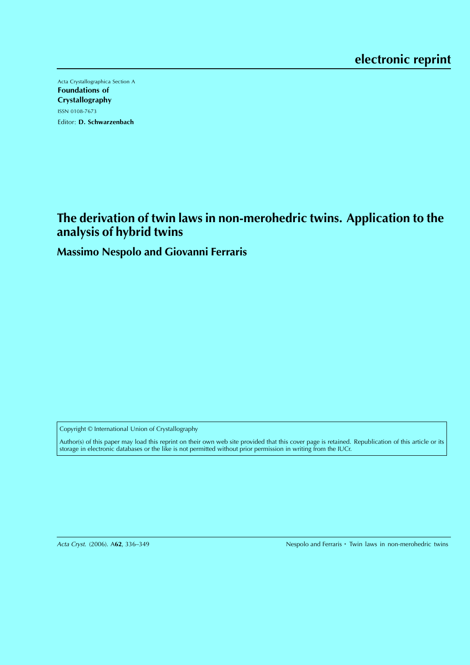Acta Crystallographica Section A Foundations of Crystallography ISSN 0108-7673 Editor: D. Schwarzenbach

# **The derivation of twin laws in non-merohedric twins. Application to the analysis of hybrid twins**

**Massimo Nespolo and Giovanni Ferraris**

Copyright © International Union of Crystallography

Author(s) of this paper may load this reprint on their own web site provided that this cover page is retained. Republication of this article or its storage in electronic databases or the like is not permitted without prior permission in writing from the IUCr.

Acta Cryst. (2006). A62, 336-349

Nespolo and Ferraris · Twin laws in non-merohedric twins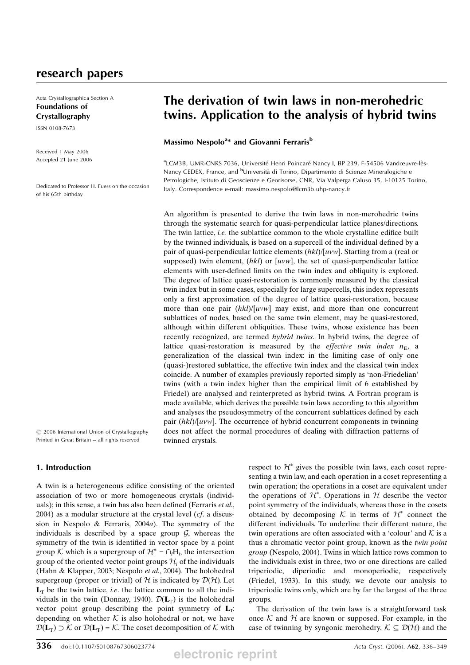Acta Crystallographica Section A Foundations of Crystallography

ISSN 0108-7673

Received 1 May 2006 Accepted 21 June 2006

Dedicated to Professor H. Fuess on the occasion of his 65th birthday

# The derivation of twin laws in non-merohedric twins. Application to the analysis of hybrid twins

# Massimo Nespolo<sup>a</sup>\* and Giovanni Ferraris<sup>b</sup>

<sup>a</sup>LCM3B, UMR-CNRS 7036, Université Henri Poincaré Nancy I, BP 239, F-54506 Vandœuvre-lès-Nancy CEDEX, France, and <sup>b</sup>Università di Torino, Dipartimento di Scienze Mineralogiche e Petrologiche, Istituto di Geoscienze e Georisorse, CNR, Via Valperga Caluso 35, I-10125 Torino, Italy. Correspondence e-mail: massimo.nespolo@lcm3b.uhp-nancy.fr

An algorithm is presented to derive the twin laws in non-merohedric twins through the systematic search for quasi-perpendicular lattice planes/directions. The twin lattice, *i.e.* the sublattice common to the whole crystalline edifice built by the twinned individuals, is based on a supercell of the individual defined by a pair of quasi-perpendicular lattice elements  $(hkl)/[uvw]$ . Starting from a (real or supposed) twin element,  $(hkl)$  or  $[uvw]$ , the set of quasi-perpendicular lattice elements with user-defined limits on the twin index and obliquity is explored. The degree of lattice quasi-restoration is commonly measured by the classical twin index but in some cases, especially for large supercells, this index represents only a first approximation of the degree of lattice quasi-restoration, because more than one pair  $(hkl)/[uvw]$  may exist, and more than one concurrent sublattices of nodes, based on the same twin element, may be quasi-restored, although within different obliquities. These twins, whose existence has been recently recognized, are termed hybrid twins. In hybrid twins, the degree of lattice quasi-restoration is measured by the *effective twin index*  $n<sub>E</sub>$ , a generalization of the classical twin index: in the limiting case of only one (quasi-)restored sublattice, the effective twin index and the classical twin index coincide. A number of examples previously reported simply as 'non-Friedelian' twins (with a twin index higher than the empirical limit of 6 established by Friedel) are analysed and reinterpreted as hybrid twins. A Fortran program is made available, which derives the possible twin laws according to this algorithm and analyses the pseudosymmetry of the concurrent sublattices defined by each pair  $(hkl)/[uvw]$ . The occurrence of hybrid concurrent components in twinning does not affect the normal procedures of dealing with diffraction patterns of twinned crystals.

 $©$  2006 International Union of Crystallography Printed in Great Britain – all rights reserved

# 1. Introduction

A twin is a heterogeneous edifice consisting of the oriented association of two or more homogeneous crystals (individuals); in this sense, a twin has also been defined (Ferraris et al.,  $2004$ ) as a modular structure at the crystal level ( $cf.$  a discussion in Nespolo & Ferraris, 2004a). The symmetry of the individuals is described by a space group  $G$ , whereas the symmetry of the twin is identified in vector space by a point group K which is a supergroup of  $\mathcal{H}^* = \bigcap_i H_i$ , the intersection group of the oriented vector point groups  $\mathcal{H}_i$  of the individuals (Hahn & Klapper, 2003; Nespolo et al., 2004). The holohedral supergroup (proper or trivial) of  $H$  is indicated by  $D(H)$ . Let  $L<sub>T</sub>$  be the twin lattice, *i.e.* the lattice common to all the individuals in the twin (Donnay, 1940).  $\mathcal{D}(\mathbf{L}_{\text{T}})$  is the holohedral vector point group describing the point symmetry of  $L_T$ : depending on whether  $K$  is also holohedral or not, we have  $\mathcal{D}(\mathbf{L}_{\text{T}}) \supset \mathcal{K}$  or  $\mathcal{D}(\mathbf{L}_{\text{T}}) = \mathcal{K}$ . The coset decomposition of  $\mathcal{K}$  with

respect to  $\mathcal{H}^*$  gives the possible twin laws, each coset representing a twin law, and each operation in a coset representing a twin operation; the operations in a coset are equivalent under the operations of  $\mathcal{H}^*$ . Operations in  $\mathcal{H}$  describe the vector point symmetry of the individuals, whereas those in the cosets obtained by decomposing K in terms of  $\mathcal{H}^*$  connect the different individuals. To underline their different nature, the twin operations are often associated with a 'colour' and  $K$  is a thus a chromatic vector point group, known as the twin point group (Nespolo, 2004). Twins in which lattice rows common to the individuals exist in three, two or one directions are called triperiodic, diperiodic and monoperiodic, respectively (Friedel, 1933). In this study, we devote our analysis to triperiodic twins only, which are by far the largest of the three groups.

The derivation of the twin laws is a straightforward task once  $K$  and  $H$  are known or supposed. For example, in the case of twinning by syngonic merohedry,  $K \subset \mathcal{D}(\mathcal{H})$  and the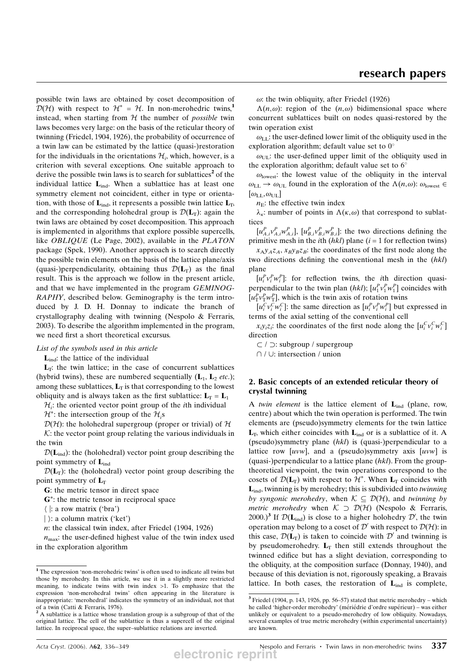possible twin laws are obtained by coset decomposition of  $\mathcal{D}(\mathcal{H})$  with respect to  $\mathcal{H}^* = \mathcal{H}$ . In non-merohedric twins,<sup>1</sup> instead, when starting from  $H$  the number of *possible* twin laws becomes very large: on the basis of the reticular theory of twinning (Friedel, 1904, 1926), the probability of occurrence of a twin law can be estimated by the lattice (quasi-)restoration for the individuals in the orientations  $\mathcal{H}_i$ , which, however, is a criterion with several exceptions. One suitable approach to derive the possible twin laws is to search for sublattices<sup>2</sup> of the individual lattice  $L_{ind}$ . When a sublattice has at least one symmetry element not coincident, either in type or orientation, with those of  $\mathbf{L}_{\text{ind}}$ , it represents a possible twin lattice  $\mathbf{L}_{\text{T}}$ , and the corresponding holohedral group is  $\mathcal{D}(L_T)$ : again the twin laws are obtained by coset decomposition. This approach is implemented in algorithms that explore possible supercells, like OBLIQUE (Le Page, 2002), available in the PLATON package (Spek, 1990). Another approach is to search directly the possible twin elements on the basis of the lattice plane/axis (quasi-)perpendicularity, obtaining thus  $\mathcal{D}(L_T)$  as the final result. This is the approach we follow in the present article, and that we have implemented in the program GEMINOG-RAPHY, described below. Geminography is the term introduced by J. D. H. Donnay to indicate the branch of crystallography dealing with twinning (Nespolo & Ferraris, 2003). To describe the algorithm implemented in the program, we need first a short theoretical excursus.

### List of the symbols used in this article

 $L_{\text{ind}}$ : the lattice of the individual

 $L_T$ : the twin lattice; in the case of concurrent sublattices (hybrid twins), these are numbered sequentially  $(L_1, L_2$  etc.); among these sublattices,  $L_T$  is that corresponding to the lowest obliquity and is always taken as the first sublattice:  $L_T = L_1$ 

 $\mathcal{H}_i$ : the oriented vector point group of the *i*th individual

 $\mathcal{H}^*$ : the intersection group of the  $\mathcal{H}_i$ s

 $D(H)$ : the holohedral supergroup (proper or trivial) of H  $K$ : the vector point group relating the various individuals in the twin

 $\mathcal{D}(\mathbf{L}_{ind})$ : the (holohedral) vector point group describing the point symmetry of  $L_{ind}$ 

 $\mathcal{D}(L_T)$ : the (holohedral) vector point group describing the point symmetry of  $L_T$ 

G: the metric tensor in direct space

G<sup>\*</sup>: the metric tensor in reciprocal space

 $\langle \cdot |$ : a row matrix ('bra')

 $|$  : a column matrix ('ket')

n: the classical twin index, after Friedel (1904, 1926)

 $n_{\text{max}}$ : the user-defined highest value of the twin index used in the exploration algorithm

 $\omega$ : the twin obliquity, after Friedel (1926)

 $\Lambda(n,\omega)$ : region of the  $(n,\omega)$  bidimensional space where concurrent sublattices built on nodes quasi-restored by the twin operation exist

 $\omega_{\text{LL}}$ : the user-defined lower limit of the obliquity used in the exploration algorithm; default value set to  $0^\circ$ 

 $\omega_{\text{UL}}$ : the user-defined upper limit of the obliquity used in the exploration algorithm; default value set to  $6^\circ$ 

 $\omega_{\text{lowest}}$ : the lowest value of the obliquity in the interval  $\omega_{\text{LL}} \rightarrow \omega_{\text{UL}}$  found in the exploration of the  $\Lambda(n,\omega)$ :  $\omega_{\text{lowest}} \in$  $[\omega_{\text{LL}}, \omega_{\text{UL}}]$ 

 $n<sub>E</sub>$ : the effective twin index

 $\lambda_{\kappa}$ : number of points in  $\Lambda(\kappa,\omega)$  that correspond to sublattices

 $[u_{A,i}^P v_{A,i}^P w_{A,i}^P]$ ,  $[u_{B,i}^P v_{B,i}^P w_{B,i}^P]$ : the two directions defining the primitive mesh in the *i*th  $(hkl)$  plane  $(i = 1$  for reflection twins)

 $x_A y_A z_A$ ,  $x_B y_B z_B$ : the coordinates of the first node along the two directions defining the conventional mesh in the (hkl) plane

 $[u_i^P v_i^P w_i^P]$ : for reflection twins, the *i*th direction quasiperpendicular to the twin plan  $(hkl)$ ;  $[u_1^p v_1^p w_1^p]$  coincides with  $[u_T^P v_T^P w_T^P]$ , which is the twin axis of rotation twins

 $[u_i^C v_i^C w_i^C]$ : the same direction as  $[u_i^P v_i^P w_i^P]$  but expressed in terms of the axial setting of the conventional cell

 $x_i y_i z_i$ : the coordinates of the first node along the  $\left[ u_i^C v_i^C w_i^C \right]$ direction

 $\subset / \supset$ : subgroup / supergroup

 $\cap$  /  $\cup$ : intersection / union

## 2. Basic concepts of an extended reticular theory of crystal twinning

A twin element is the lattice element of  $L_{ind}$  (plane, row, centre) about which the twin operation is performed. The twin elements are (pseudo)symmetry elements for the twin lattice  $L_T$ , which either coincides with  $L_{ind}$  or is a sublattice of it. A (pseudo)symmetry plane  $(hkl)$  is (quasi-)perpendicular to a lattice row  $[uvw]$ , and a (pseudo)symmetry axis  $[uvw]$  is (quasi-)perpendicular to a lattice plane  $(hkl)$ . From the grouptheoretical viewpoint, the twin operations correspond to the cosets of  $\mathcal{D}(\mathbf{L}_{\mathrm{T}})$  with respect to  $\mathcal{H}^*$ . When  $\mathbf{L}_{\mathrm{T}}$  coincides with  $\mathbf{L}_{\text{ind}}$ , twinning is by merohedry; this is subdivided into *twinning* by syngonic merohedry, when  $K \subset \mathcal{D}(\mathcal{H})$ , and twinning by *metric merohedry* when  $K \supset \mathcal{D}(\mathcal{H})$  (Nespolo & Ferraris, 2000.)<sup>3</sup> If  $\mathcal{D}(\mathbf{L}_{\text{ind}})$  is close to a higher holohedry  $\mathcal{D}'$ , the twin operation may belong to a coset of  $\mathcal{D}'$  with respect to  $\mathcal{D}(\mathcal{H})$ : in this case,  $\mathcal{D}(L_T)$  is taken to coincide with  $\mathcal{D}'$  and twinning is by pseudomerohedry.  $L_T$  then still extends throughout the twinned edifice but has a slight deviation, corresponding to the obliquity, at the composition surface (Donnay, 1940), and because of this deviation is not, rigorously speaking, a Bravais lattice. In both cases, the restoration of  $L_{ind}$  is complete,

<sup>&</sup>lt;sup>1</sup> The expression 'non-merohedric twins' is often used to indicate all twins but those by merohedry. In this article, we use it in a slightly more restricted meaning, to indicate twins with twin index  $>1$ . To emphasize that the expression 'non-merohedral twins' often appearing in the literature is inappropriate: 'merohedral' indicates the symmetry of an individual, not that

of a twin (Catti & Ferraris, 1976). <sup>2</sup> A sublattice is a lattice whose translation group is a subgroup of that of the original lattice. The cell of the sublattice is thus a supercell of the original lattice. In reciprocal space, the super–sublattice relations are inverted.

<sup>3</sup> Friedel (1904, p. 143, 1926, pp. 56–57) stated that metric merohedry – which he called 'higher-order merohedry' (mériédrie d'ordre supérieur) – was either unlikely or equivalent to a pseudo-merohedry of low obliquity. Nowadays, several examples of true metric merohedry (within experimental uncertainty) are known.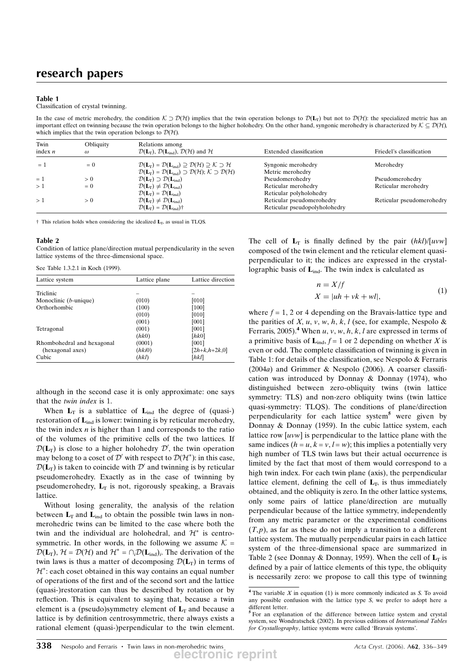### Table 1

#### Classification of crystal twinning.

In the case of metric merohedry, the condition  $K \supset \mathcal{D}(\mathcal{H})$  implies that the twin operation belongs to  $\mathcal{D}(L_T)$  but not to  $\mathcal{D}(\mathcal{H})$ : the specialized metric has an important effect on twinning because the twin operation belongs to the higher holohedry. On the other hand, syngonic merohedry is characterized by  $K \subseteq \mathcal{D}(\mathcal{H})$ , which implies that the twin operation belongs to  $D(H)$ .

| Twin<br>index $n$ | Obliquity<br>$\omega$ | Relations among<br>$\mathcal{D}(\mathbf{L}_{\mathrm{T}}), \mathcal{D}(\mathbf{L}_{\mathrm{ind}}), \mathcal{D}(\mathcal{H})$ and $\mathcal{H}$                  | Extended classification       | Friedel's classification  |
|-------------------|-----------------------|----------------------------------------------------------------------------------------------------------------------------------------------------------------|-------------------------------|---------------------------|
| $= 1$             | $= 0$                 | $\mathcal{D}(\mathbf{L}_{\mathrm{T}}) = \mathcal{D}(\mathbf{L}_{\mathrm{ind}}) \supseteq \mathcal{D}(\mathcal{H}) \supseteq \mathcal{K} \supseteq \mathcal{H}$ | Syngonic merohedry            | Merohedry                 |
|                   |                       | $\mathcal{D}(\mathbf{L}_{\mathrm{T}}) = \mathcal{D}(\mathbf{L}_{\mathrm{ind}}) \supset \mathcal{D}(\mathcal{H}); \mathcal{K} \supset \mathcal{D}(\mathcal{H})$ | Metric merohedry              |                           |
| $= 1$             | > 0                   | $\mathcal{D}(\mathbf{L}_{\mathrm{T}}) \supset \mathcal{D}(\mathbf{L}_{\mathrm{ind}})$                                                                          | Pseudomerohedry               | Pseudomerohedry           |
| >1                | $= 0$                 | $\mathcal{D}(\mathbf{L}_{\mathrm{T}}) \neq \mathcal{D}(\mathbf{L}_{\mathrm{ind}})$                                                                             | Reticular merohedry           | Reticular merohedry       |
|                   |                       | $\mathcal{D}(\mathbf{L}_{\mathrm{T}}) = \mathcal{D}(\mathbf{L}_{\mathrm{ind}})$                                                                                | Reticular polyholohedry       |                           |
| >1                | $\geq 0$              | $\mathcal{D}(\mathbf{L}_{\mathrm{T}}) \neq \mathcal{D}(\mathbf{L}_{\mathrm{ind}})$                                                                             | Reticular pseudomerohedry     | Reticular pseudomerohedry |
|                   |                       | $\mathcal{D}(\mathbf{L}_{\mathrm{T}}) = \mathcal{D}(\mathbf{L}_{\mathrm{ind}})$ †                                                                              | Reticular pseudopolyholohedry |                           |

 $\dagger$  This relation holds when considering the idealized  $L_T$ , as usual in TLQS.

#### Table 2

Condition of lattice plane/direction mutual perpendicularity in the seven lattice systems of the three-dimensional space.

|  |  | See Table 1.3.2.1 in Koch (1999). |  |  |  |  |
|--|--|-----------------------------------|--|--|--|--|
|--|--|-----------------------------------|--|--|--|--|

| Lattice system             | Lattice plane | Lattice direction |
|----------------------------|---------------|-------------------|
| Triclinic                  |               |                   |
|                            |               |                   |
| Monoclinic $(b$ -unique)   | (010)         | [010]             |
| Orthorhombic               | (100)         | [100]             |
|                            | (010)         | [010]             |
|                            | (001)         | [001]             |
| Tetragonal                 | (001)         | [001]             |
|                            | (hk0)         | [hk0]             |
| Rhombohedral and hexagonal | (0001)        | [001]             |
| (hexagonal axes)           | (hki0)        | $[2h+k,h+2k,0]$   |
| Cubic                      | (hkl)         | [hkl]             |

although in the second case it is only approximate: one says that the twin index is 1.

When  $L_T$  is a sublattice of  $L_{ind}$  the degree of (quasi-) restoration of  $L_{ind}$  is lower: twinning is by reticular merohedry, the twin index  $n$  is higher than 1 and corresponds to the ratio of the volumes of the primitive cells of the two lattices. If  $\mathcal{D}(\mathbf{L}_{\mathrm{T}})$  is close to a higher holohedry  $\mathcal{D}'$ , the twin operation may belong to a coset of  $\mathcal{D}'$  with respect to  $\mathcal{D}(\mathcal{H}^*)$ : in this case,  $\mathcal{D}(L_T)$  is taken to coincide with  $\mathcal{D}'$  and twinning is by reticular pseudomerohedry. Exactly as in the case of twinning by pseudomerohedry,  $L_T$  is not, rigorously speaking, a Bravais lattice.

Without losing generality, the analysis of the relation between  $L_T$  and  $L_{ind}$  to obtain the possible twin laws in nonmerohedric twins can be limited to the case where both the twin and the individual are holohedral, and  $\mathcal{H}^*$  is centrosymmetric. In other words, in the following we assume  $K =$  $\mathcal{D}(\mathbf{L}_{\mathrm{T}}), \mathcal{H} = \mathcal{D}(\mathcal{H})$  and  $\mathcal{H}^* = \bigcap_i \mathcal{D}(\mathbf{L}_{\mathrm{ind}})_i$ . The derivation of the twin laws is thus a matter of decomposing  $\mathcal{D}(L_T)$  in terms of  $\mathcal{H}^*$ : each coset obtained in this way contains an equal number of operations of the first and of the second sort and the lattice (quasi-)restoration can thus be described by rotation or by reflection. This is equivalent to saying that, because a twin element is a (pseudo)symmetry element of  $L_T$  and because a lattice is by definition centrosymmetric, there always exists a rational element (quasi-)perpendicular to the twin element. The cell of  $L_T$  is finally defined by the pair  $(hkl)/[uvw]$ composed of the twin element and the reticular element quasiperpendicular to it; the indices are expressed in the crystallographic basis of  $L_{ind}$ . The twin index is calculated as

$$
n = X/f
$$
  
\n
$$
X = |uh + vk +wl|,
$$
\n(1)

where  $f = 1, 2$  or 4 depending on the Bravais-lattice type and the parities of  $X$ ,  $u$ ,  $v$ ,  $w$ ,  $h$ ,  $k$ ,  $l$  (see, for example, Nespolo & Ferraris, 2005).<sup>4</sup> When  $u, v, w, h, k, l$  are expressed in terms of a primitive basis of  $\mathbf{L}_{ind}$ ,  $f = 1$  or 2 depending on whether X is even or odd. The complete classification of twinning is given in Table 1: for details of the classification, see Nespolo & Ferraris  $(2004a)$  and Grimmer & Nespolo  $(2006)$ . A coarser classification was introduced by Donnay & Donnay (1974), who distinguished between zero-obliquity twins (twin lattice symmetry: TLS) and non-zero obliquity twins (twin lattice quasi-symmetry: TLQS). The conditions of plane/direction perpendicularity for each lattice system<sup>5</sup> were given by Donnay & Donnay (1959). In the cubic lattice system, each lattice row  $[uvw]$  is perpendicular to the lattice plane with the same indices  $(h = u, k = v, l = w)$ ; this implies a potentially very high number of TLS twin laws but their actual occurrence is limited by the fact that most of them would correspond to a high twin index. For each twin plane (axis), the perpendicular lattice element, defining the cell of  $L<sub>T</sub>$ , is thus immediately obtained, and the obliquity is zero. In the other lattice systems, only some pairs of lattice plane/direction are mutually perpendicular because of the lattice symmetry, independently from any metric parameter or the experimental conditions  $(T,p)$ , as far as these do not imply a transition to a different lattice system. The mutually perpendicular pairs in each lattice system of the three-dimensional space are summarized in Table 2 (see Donnay & Donnay, 1959). When the cell of  $L_T$  is defined by a pair of lattice elements of this type, the obliquity is necessarily zero: we propose to call this type of twinning

<sup>&</sup>lt;sup>4</sup> The variable  $X$  in equation (1) is more commonly indicated as  $S$ . To avoid any possible confusion with the lattice type S, we prefer to adopt here a different letter.

<sup>5</sup> For an explanation of the difference between lattice system and crystal system, see Wondratschek (2002). In previous editions of International Tables for Crystallography, lattice systems were called 'Bravais systems'.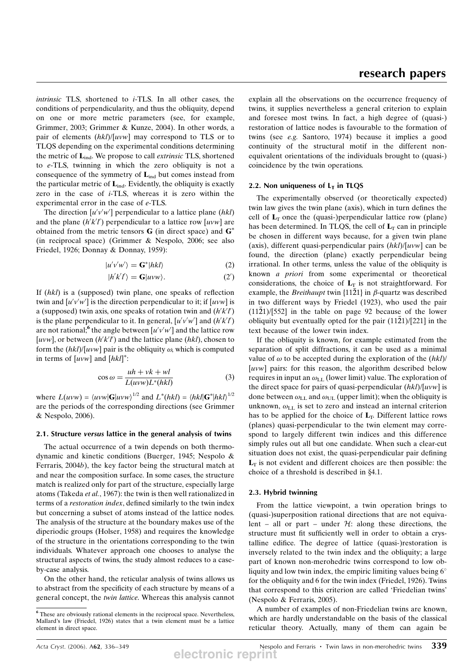intrinsic TLS, shortened to i-TLS. In all other cases, the conditions of perpendicularity, and thus the obliquity, depend on one or more metric parameters (see, for example, Grimmer, 2003; Grimmer & Kunze, 2004). In other words, a pair of elements  $(hkl)/[uvw]$  may correspond to TLS or to TLQS depending on the experimental conditions determining the metric of  $L_{ind}$ . We propose to call *extrinsic* TLS, shortened to e-TLS, twinning in which the zero obliquity is not a consequence of the symmetry of  $L_{ind}$  but comes instead from the particular metric of  $L_{ind}$ . Evidently, the obliquity is exactly zero in the case of i-TLS, whereas it is zero within the experimental error in the case of e-TLS.

The direction  $[u'v'w']$  perpendicular to a lattice plane (hkl) and the plane  $(h'k'l')$  perpendicular to a lattice row [uvw] are obtained from the metric tensors  $G$  (in direct space) and  $G^*$ (in reciprocal space) (Grimmer & Nespolo, 2006; see also Friedel, 1926; Donnay & Donnay, 1959):

$$
|u'v'w'\rangle = \mathbf{G}^*|hkl\rangle \tag{2}
$$

$$
|h'k'l'\rangle = \mathbf{G}|uvw\rangle. \tag{2'}
$$

If (hkl) is a (supposed) twin plane, one speaks of reflection twin and  $[u'v'w']$  is the direction perpendicular to it; if  $[uvw]$  is a (supposed) twin axis, one speaks of rotation twin and  $(h'k'l')$ is the plane perpendicular to it. In general,  $[u'v'w']$  and  $(h'k'l')$ are not rational; the angle between  $[u'v'w']$  and the lattice row [uvw], or between  $(h'k'l')$  and the lattice plane (hkl), chosen to form the  $(hkl)/[uvw]$  pair is the obliquity  $\omega$ , which is computed in terms of  $[uvw]$  and  $[hkl]^*$ :

$$
\cos \omega = \frac{uh + vk +wl}{L(uvw)L^*(hkl)}
$$
(3)

where  $L(uvw) = \langle uvw | \mathbf{G} | uvw \rangle^{1/2}$  and  $L^*(hkl) = \langle hkl | \mathbf{G}^* | hkl \rangle^{1/2}$ are the periods of the corresponding directions (see Grimmer & Nespolo, 2006).

#### 2.1. Structure versus lattice in the general analysis of twins

The actual occurrence of a twin depends on both thermodynamic and kinetic conditions (Buerger, 1945; Nespolo & Ferraris, 2004b), the key factor being the structural match at and near the composition surface. In some cases, the structure match is realized only for part of the structure, especially large atoms (Takeda et al., 1967): the twin is then well rationalized in terms of a restoration index, defined similarly to the twin index but concerning a subset of atoms instead of the lattice nodes. The analysis of the structure at the boundary makes use of the diperiodic groups (Holser, 1958) and requires the knowledge of the structure in the orientations corresponding to the twin individuals. Whatever approach one chooses to analyse the structural aspects of twins, the study almost reduces to a caseby-case analysis.

On the other hand, the reticular analysis of twins allows us to abstract from the specificity of each structure by means of a general concept, the twin lattice. Whereas this analysis cannot explain all the observations on the occurrence frequency of twins, it supplies nevertheless a general criterion to explain and foresee most twins. In fact, a high degree of (quasi-) restoration of lattice nodes is favourable to the formation of twins (see e.g. Santoro, 1974) because it implies a good continuity of the structural motif in the different nonequivalent orientations of the individuals brought to (quasi-) coincidence by the twin operations.

### 2.2. Non uniqueness of  $L<sub>T</sub>$  in TLQS

The experimentally observed (or theoretically expected) twin law gives the twin plane (axis), which in turn defines the cell of  $L_T$  once the (quasi-)perpendicular lattice row (plane) has been determined. In TLQS, the cell of  $L_T$  can in principle be chosen in different ways because, for a given twin plane (axis), different quasi-perpendicular pairs  $(hkl)/[uvw]$  can be found, the direction (plane) exactly perpendicular being irrational. In other terms, unless the value of the obliquity is known a priori from some experimental or theoretical considerations, the choice of  $L_T$  is not straightforward. For example, the *Breithaupt* twin  $\{11\overline{2}1\}$  in  $\beta$ -quartz was described in two different ways by Friedel (1923), who used the pair  $(11\bar{2}1)/[552]$  in the table on page 92 because of the lower obliquity but eventually opted for the pair  $(11\bar{2}1)/[221]$  in the text because of the lower twin index.

If the obliquity is known, for example estimated from the separation of split diffractions, it can be used as a minimal value of  $\omega$  to be accepted during the exploration of the  $(hkl)$ [uvw] pairs: for this reason, the algorithm described below requires in input an  $\omega_{LL}$  (lower limit) value. The exploration of the direct space for pairs of quasi-perpendicular  $(hkl)/[uvw]$  is done between  $\omega_{LL}$  and  $\omega_{UL}$  (upper limit); when the obliquity is unknown,  $\omega_{LL}$  is set to zero and instead an internal criterion has to be applied for the choice of  $L_T$ . Different lattice rows (planes) quasi-perpendicular to the twin element may correspond to largely different twin indices and this difference simply rules out all but one candidate. When such a clear-cut situation does not exist, the quasi-perpendicular pair defining  $L<sub>T</sub>$  is not evident and different choices are then possible: the choice of a threshold is described in  $§4.1$ .

### 2.3. Hybrid twinning

From the lattice viewpoint, a twin operation brings to (quasi-)superposition rational directions that are not equivalent – all or part – under  $H$ : along these directions, the structure must fit sufficiently well in order to obtain a crystalline edifice. The degree of lattice (quasi-)restoration is inversely related to the twin index and the obliquity; a large part of known non-merohedric twins correspond to low obliquity and low twin index, the empiric limiting values being  $6^{\circ}$ for the obliquity and 6 for the twin index (Friedel, 1926). Twins that correspond to this criterion are called 'Friedelian twins' (Nespolo & Ferraris, 2005).

A number of examples of non-Friedelian twins are known, which are hardly understandable on the basis of the classical reticular theory. Actually, many of them can again be

<sup>6</sup> These are obviously rational elements in the reciprocal space. Nevertheless, Mallard's law (Friedel, 1926) states that a twin element must be a lattice element in direct space.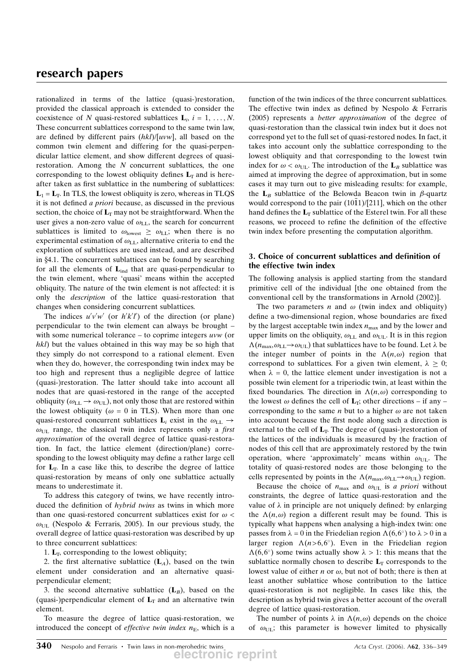rationalized in terms of the lattice (quasi-)restoration, provided the classical approach is extended to consider the coexistence of N quasi-restored sublattices  $\mathbf{L}_i$ ,  $i = 1, \ldots, N$ . These concurrent sublattices correspond to the same twin law, are defined by different pairs  $(hkl)/[uvw]$ , all based on the common twin element and differing for the quasi-perpendicular lattice element, and show different degrees of quasirestoration. Among the  $N$  concurrent sublattices, the one corresponding to the lowest obliquity defines  $L<sub>T</sub>$  and is hereafter taken as first sublattice in the numbering of sublattices:  $L_1 = L_T$ . In TLS, the lowest obliquity is zero, whereas in TLQS it is not defined a priori because, as discussed in the previous section, the choice of  $L_T$  may not be straightforward. When the user gives a non-zero value of  $\omega_{LL}$ , the search for concurrent sublattices is limited to  $\omega_{\text{lowest}} \geq \omega_{\text{LL}}$ ; when there is no experimental estimation of  $\omega_{LL}$ , alternative criteria to end the exploration of sublattices are used instead, and are described in §4.1. The concurrent sublattices can be found by searching for all the elements of  $L_{ind}$  that are quasi-perpendicular to the twin element, where 'quasi' means within the accepted obliquity. The nature of the twin element is not affected: it is only the description of the lattice quasi-restoration that changes when considering concurrent sublattices.

The indices  $u'v'w'$  (or  $h'k'l'$ ) of the direction (or plane) perpendicular to the twin element can always be brought – with some numerical tolerance – to coprime integers  $uvw$  (or hkl) but the values obtained in this way may be so high that they simply do not correspond to a rational element. Even when they do, however, the corresponding twin index may be too high and represent thus a negligible degree of lattice (quasi-)restoration. The latter should take into account all nodes that are quasi-restored in the range of the accepted obliquity ( $\omega_{LL} \rightarrow \omega_{UL}$ ), not only those that are restored within the lowest obliquity ( $\omega = 0$  in TLS). When more than one quasi-restored concurrent sublattices  $\mathbf{L}_i$  exist in the  $\omega_{\text{LL}} \rightarrow$  $\omega_{\text{UL}}$  range, the classical twin index represents only a *first* approximation of the overall degree of lattice quasi-restoration. In fact, the lattice element (direction/plane) corresponding to the lowest obliquity may define a rather large cell for  $L<sub>T</sub>$ . In a case like this, to describe the degree of lattice quasi-restoration by means of only one sublattice actually means to underestimate it.

To address this category of twins, we have recently introduced the definition of hybrid twins as twins in which more than one quasi-restored concurrent sublattices exist for  $\omega$  <  $\omega_{\text{UL}}$  (Nespolo & Ferraris, 2005). In our previous study, the overall degree of lattice quasi-restoration was described by up to three concurrent sublattices:

1.  $L_T$ , corresponding to the lowest obliquity;

2. the first alternative sublattice  $(L<sub>A</sub>)$ , based on the twin element under consideration and an alternative quasiperpendicular element;

3. the second alternative sublattice  $(L_B)$ , based on the (quasi-)perpendicular element of  $L_T$  and an alternative twin element.

To measure the degree of lattice quasi-restoration, we introduced the concept of *effective twin index*  $n<sub>E</sub>$ , which is a function of the twin indices of the three concurrent sublattices. The effective twin index as defined by Nespolo & Ferraris (2005) represents a better approximation of the degree of quasi-restoration than the classical twin index but it does not correspond yet to the full set of quasi-restored nodes. In fact, it takes into account only the sublattice corresponding to the lowest obliquity and that corresponding to the lowest twin index for  $\omega < \omega_{\text{UL}}$ . The introduction of the  $L_B$  sublattice was aimed at improving the degree of approximation, but in some cases it may turn out to give misleading results: for example, the  $L_B$  sublattice of the Belowda Beacon twin in  $\beta$ -quartz would correspond to the pair  $(10\overline{1}1)/[211]$ , which on the other hand defines the  $L<sub>T</sub>$  sublattice of the Esterel twin. For all these reasons, we proceed to refine the definition of the effective twin index before presenting the computation algorithm.

# 3. Choice of concurrent sublattices and definition of the effective twin index

The following analysis is applied starting from the standard primitive cell of the individual [the one obtained from the conventional cell by the transformations in Arnold (2002)].

The two parameters *n* and  $\omega$  (twin index and obliquity) define a two-dimensional region, whose boundaries are fixed by the largest acceptable twin index  $n_{\text{max}}$  and by the lower and upper limits on the obliquity,  $\omega_{LL}$  and  $\omega_{UL}$ . It is in this region  $\Lambda(n_{\text{max}}, \omega_{\text{LI}} \rightarrow \omega_{\text{LI}})$  that sublattices have to be found. Let  $\lambda$  be the integer number of points in the  $\Lambda(n,\omega)$  region that correspond to sublattices. For a given twin element,  $\lambda \geq 0$ ; when  $\lambda = 0$ , the lattice element under investigation is not a possible twin element for a triperiodic twin, at least within the fixed boundaries. The direction in  $\Lambda(n,\omega)$  corresponding to the lowest  $\omega$  defines the cell of  $L_T$ ; other directions – if any – corresponding to the same *n* but to a higher  $\omega$  are not taken into account because the first node along such a direction is external to the cell of  $L<sub>T</sub>$ . The degree of (quasi-)restoration of the lattices of the individuals is measured by the fraction of nodes of this cell that are approximately restored by the twin operation, where 'approximately' means within  $\omega_{UL}$ . The totality of quasi-restored nodes are those belonging to the cells represented by points in the  $\Lambda(n_{\text{max}}, \omega_{\text{LL}} \rightarrow \omega_{\text{UL}})$  region.

Because the choice of  $n_{\text{max}}$  and  $\omega_{\text{UL}}$  is a priori without constraints, the degree of lattice quasi-restoration and the value of  $\lambda$  in principle are not uniquely defined: by enlarging the  $\Lambda(n,\omega)$  region a different result may be found. This is typically what happens when analysing a high-index twin: one passes from  $\lambda = 0$  in the Friedelian region  $\Lambda(6,6^{\circ})$  to  $\lambda > 0$  in a larger region  $\Lambda(n>6,6)$ . Even in the Friedelian region  $\Lambda(6,6^{\circ})$  some twins actually show  $\lambda > 1$ : this means that the sublattice normally chosen to describe  $L_T$  corresponds to the lowest value of either *n* or  $\omega$ , but not of both; there is then at least another sublattice whose contribution to the lattice quasi-restoration is not negligible. In cases like this, the description as hybrid twin gives a better account of the overall degree of lattice quasi-restoration.

The number of points  $\lambda$  in  $\Lambda(n,\omega)$  depends on the choice of  $\omega_{\text{UL}}$ ; this parameter is however limited to physically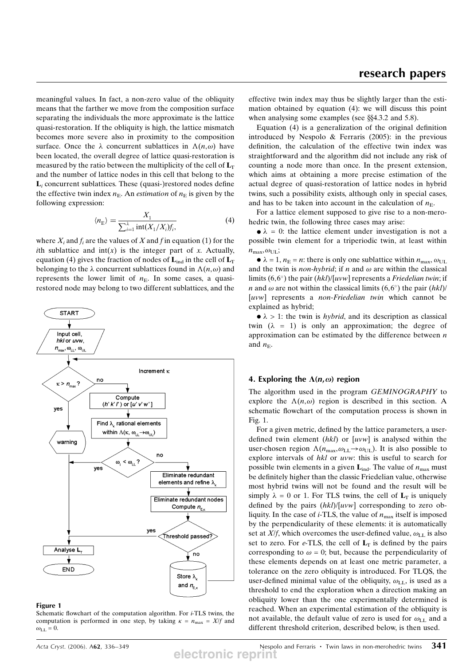meaningful values. In fact, a non-zero value of the obliquity means that the farther we move from the composition surface separating the individuals the more approximate is the lattice quasi-restoration. If the obliquity is high, the lattice mismatch becomes more severe also in proximity to the composition surface. Once the  $\lambda$  concurrent sublattices in  $\Lambda(n,\omega)$  have been located, the overall degree of lattice quasi-restoration is measured by the ratio between the multiplicity of the cell of  $L_T$ and the number of lattice nodes in this cell that belong to the  $L<sub>i</sub>$  concurrent sublattices. These (quasi-)restored nodes define the effective twin index  $n<sub>E</sub>$ . An *estimation* of  $n<sub>E</sub>$  is given by the following expression:

$$
\langle n_{\rm E} \rangle = \frac{X_1}{\sum_{i=1}^{\lambda} \text{int}(X_1/X_i) f_i},\tag{4}
$$

where  $X_i$  and  $f_i$  are the values of X and f in equation (1) for the ith sublattice and  $int(x)$  is the integer part of x. Actually, equation (4) gives the fraction of nodes of  $L_{ind}$  in the cell of  $L_T$ belonging to the  $\lambda$  concurrent sublattices found in  $\Lambda(n,\omega)$  and represents the lower limit of  $n<sub>E</sub>$ . In some cases, a quasirestored node may belong to two different sublattices, and the



#### Figure 1

Schematic flowchart of the computation algorithm. For  $i$ -TLS twins, the computation is performed in one step, by taking  $\kappa = n_{\text{max}} = X/f$  and  $\omega_{\text{LL}} = 0.$ 

effective twin index may thus be slightly larger than the estimation obtained by equation (4): we will discuss this point when analysing some examples (see  $\S$  $4.3.2$  and  $5.8$ ).

Equation (4) is a generalization of the original definition introduced by Nespolo & Ferraris (2005): in the previous definition, the calculation of the effective twin index was straightforward and the algorithm did not include any risk of counting a node more than once. In the present extension, which aims at obtaining a more precise estimation of the actual degree of quasi-restoration of lattice nodes in hybrid twins, such a possibility exists, although only in special cases, and has to be taken into account in the calculation of  $n<sub>E</sub>$ .

For a lattice element supposed to give rise to a non-merohedric twin, the following three cases may arise:

 $\bullet \lambda = 0$ : the lattice element under investigation is not a possible twin element for a triperiodic twin, at least within  $n_{\text{max}}$ ,  $\omega_{\text{UL}}$ ;

 $\bullet \lambda = 1$ ,  $n_E = n$ : there is only one sublattice within  $n_{\text{max}}$ ,  $\omega_{\text{UL}}$ and the twin is *non-hybrid*; if *n* and  $\omega$  are within the classical limits  $(6,6^{\circ})$  the pair  $(hkl)/[uvw]$  represents a *Friedelian twin*; if *n* and  $\omega$  are not within the classical limits (6,6°) the pair (hkl)/ [uvw] represents a *non-Friedelian twin* which cannot be explained as hybrid;

 $\bullet \lambda > 1$ : the twin is *hybrid*, and its description as classical twin  $(\lambda = 1)$  is only an approximation; the degree of approximation can be estimated by the difference between  $n$ and  $n_{\rm E}$ .

### 4. Exploring the  $\Lambda(n,\omega)$  region

The algorithm used in the program GEMINOGRAPHY to explore the  $\Lambda(n,\omega)$  region is described in this section. A schematic flowchart of the computation process is shown in Fig. 1.

For a given metric, defined by the lattice parameters, a userdefined twin element  $(hkl)$  or  $[uvw]$  is analysed within the user-chosen region  $\Lambda(n_{\text{max}}, \omega_{\text{LL}} \rightarrow \omega_{\text{UL}})$ . It is also possible to explore intervals of hkl or uvw: this is useful to search for possible twin elements in a given  $L_{ind}$ . The value of  $n_{max}$  must be definitely higher than the classic Friedelian value, otherwise most hybrid twins will not be found and the result will be simply  $\lambda = 0$  or 1. For TLS twins, the cell of  $L_T$  is uniquely defined by the pairs  $(hkl)/[uvw]$  corresponding to zero obliquity. In the case of *i*-TLS, the value of  $n_{\text{max}}$  itself is imposed by the perpendicularity of these elements: it is automatically set at X/f, which overcomes the user-defined value,  $\omega_{\text{LL}}$  is also set to zero. For e-TLS, the cell of  $L_T$  is defined by the pairs corresponding to  $\omega = 0$ ; but, because the perpendicularity of these elements depends on at least one metric parameter, a tolerance on the zero obliquity is introduced. For TLQS, the user-defined minimal value of the obliquity,  $\omega_{\text{LL}}$ , is used as a threshold to end the exploration when a direction making an obliquity lower than the one experimentally determined is reached. When an experimental estimation of the obliquity is not available, the default value of zero is used for  $\omega_{LL}$  and a different threshold criterion, described below, is then used.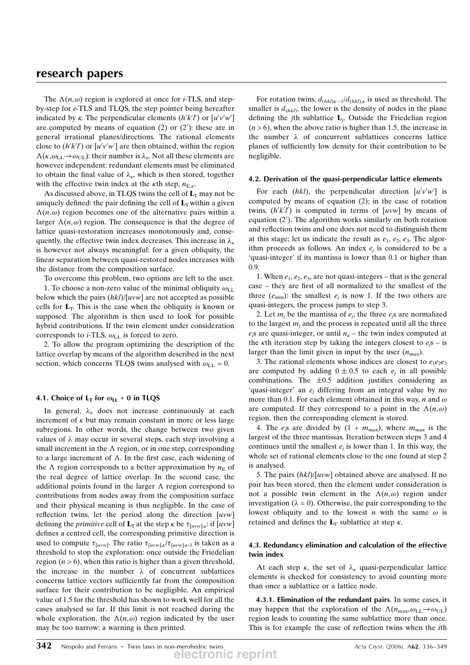The  $\Lambda(n,\omega)$  region is explored at once for *i*-TLS, and stepby-step for e-TLS and TLQS, the step pointer being hereafter indicated by  $\kappa$ . The perpendicular elements  $(h'k'l')$  or  $[u'v'w']$ are computed by means of equation  $(2)$  or  $(2')$ : these are in general irrational planes/directions. The rational elements close to  $(h'k'l')$  or  $[u'v'w']$  are then obtained, within the region  $\Lambda(\kappa, \omega_{\text{LL}} \to \omega_{\text{UL}})$ : their number is  $\lambda_{\kappa}$ . Not all these elements are however independent: redundant elements must be eliminated to obtain the final value of  $\lambda_{\kappa}$ , which is then stored, together with the effective twin index at the  $\kappa$ th step,  $n_{E,\kappa}$ .

As discussed above, in TLQS twins the cell of  $L_T$  may not be uniquely defined: the pair defining the cell of  $L_T$  within a given  $\Lambda(n,\omega)$  region becomes one of the alternative pairs within a larger  $\Lambda(n,\omega)$  region. The consequence is that the degree of lattice quasi-restoration increases monotonously and, consequently, the effective twin index decreases. This increase in  $\lambda_{\kappa}$ is however not always meaningful: for a given obliquity, the linear separation between quasi-restored nodes increases with the distance from the composition surface.

To overcome this problem, two options are left to the user. 1. To choose a non-zero value of the minimal obliquity  $\omega_{\text{LL}}$ 

below which the pairs  $(hkl)/[uvw]$  are not accepted as possible cells for  $L_T$ . This is the case when the obliquity is known or supposed. The algorithm is then used to look for possible hybrid contributions. If the twin element under consideration corresponds to *i*-TLS,  $\omega_{LL}$  is forced to zero.

2. To allow the program optimizing the description of the lattice overlap by means of the algorithm described in the next section, which concerns TLQS twins analysed with  $\omega_{LL} = 0$ .

## 4.1. Choice of  $L<sub>T</sub>$  for  $\omega_{LL} = 0$  in TLQS

In general,  $\lambda_{\kappa}$  does not increase continuously at each increment of  $\kappa$  but may remain constant in more or less large subregions. In other words, the change between two given values of  $\lambda$  may occur in several steps, each step involving a small increment in the  $\Lambda$  region, or in one step, corresponding to a large increment of  $\Lambda$ . In the first case, each widening of the  $\Lambda$  region corresponds to a better approximation by  $n_E$  of the real degree of lattice overlap. In the second case, the additional points found in the larger  $\Lambda$  region correspond to contributions from nodes away from the composition surface and their physical meaning is thus negligible. In the case of reflection twins, let the period along the direction  $[uvw]$ defining the *primitive* cell of  $\mathbf{L}_{\text{T}}$  at the step  $\kappa$  be  $\tau_{[uvw],\kappa}$ : if  $[uvw]$ defines a centred cell, the corresponding primitive direction is used to compute  $\tau_{[uvw]}$ . The ratio  $\tau_{[uvw],k}/\tau_{[uvw],k-1}$  is taken as a threshold to stop the exploration: once outside the Friedelian region  $(n > 6)$ , when this ratio is higher than a given threshold, the increase in the number  $\lambda$  of concurrent sublattices concerns lattice vectors sufficiently far from the composition surface for their contribution to be negligible. An empirical value of 1.5 for the threshold has shown to work well for all the cases analysed so far. If this limit is not reached during the whole exploration, the  $\Lambda(n,\omega)$  region indicated by the user may be too narrow: a warning is then printed.

For rotation twins,  $d_{(hkl)\kappa-1}/d_{(hkl)\kappa}$  is used as threshold. The smaller is  $d_{(hkl)}$ , the lower is the density of nodes in the plane defining the jth sublattice  $L_i$ . Outside the Friedelian region  $(n > 6)$ , when the above ratio is higher than 1.5, the increase in the number  $\lambda$  of concurrent sublattices concerns lattice planes of sufficiently low density for their contribution to be negligible.

### 4.2. Derivation of the quasi-perpendicular lattice elements

For each (hkl), the perpendicular direction  $[u'v'w']$  is computed by means of equation (2); in the case of rotation twins,  $(h'k'l')$  is computed in terms of [uvw] by means of equation (2'). The algorithm works similarly on both rotation and reflection twins and one does not need to distinguish them at this stage; let us indicate the result as  $e_1, e_2, e_3$ . The algorithm proceeds as follows. An index  $e_i$  is considered to be a 'quasi-integer' if its mantissa is lower than 0.1 or higher than 0.9.

1. When  $e_1, e_2, e_3$ , are not quasi-integers – that is the general case – they are first of all normalized to the smallest of the three  $(e_{\min})$ : the smallest  $e_i$  is now 1. If the two others are quasi-integers, the process jumps to step 3.

2. Let  $m_i$  be the mantissa of  $e_i$ ; the three  $e_i$ s are normalized to the largest  $m_i$  and the process is repeated until all the three  $e_j$ s are quasi-integer, or until  $n_k$  – the twin index computed at the  $\kappa$ th iteration step by taking the integers closest to  $e_j$ s – is larger than the limit given in input by the user  $(n_{\text{max}})$ .

3. The rational elements whose indices are closest to  $e_1e_2e_3$ are computed by adding  $0 \pm 0.5$  to each  $e_i$  in all possible combinations. The  $\pm 0.5$  addition justifies considering as 'quasi-integer' an  $e_i$  differing from an integral value by no more than 0.1. For each element obtained in this way, n and  $\omega$ are computed. If they correspond to a point in the  $\Lambda(n,\omega)$ region, then the corresponding element is stored.

4. The  $e_i$ s are divided by  $(1 + m_{\text{max}})$ , where  $m_{\text{max}}$  is the largest of the three mantissas. Iteration between steps 3 and 4 continues until the smallest  $e_i$  is lower than 1. In this way, the whole set of rational elements close to the one found at step 2 is analysed.

5. The pairs  $(hkl)/[uvw]$  obtained above are analysed. If no pair has been stored, then the element under consideration is not a possible twin element in the  $\Lambda(n,\omega)$  region under investigation ( $\lambda = 0$ ). Otherwise, the pair corresponding to the lowest obliquity and to the lowest n with the same  $\omega$  is retained and defines the  $L_T$  sublattice at step  $\kappa$ .

## 4.3. Redundancy elimination and calculation of the effective twin index

At each step  $\kappa$ , the set of  $\lambda_{\kappa}$  quasi-perpendicular lattice elements is checked for consistency to avoid counting more than once a sublattice or a lattice node.

4.3.1. Elimination of the redundant pairs. In some cases, it may happen that the exploration of the  $\Lambda(n_{\text{max}}, \omega_{\text{LL}} \rightarrow \omega_{\text{UL}})$ region leads to counting the same sublattice more than once. This is for example the case of reflection twins when the ith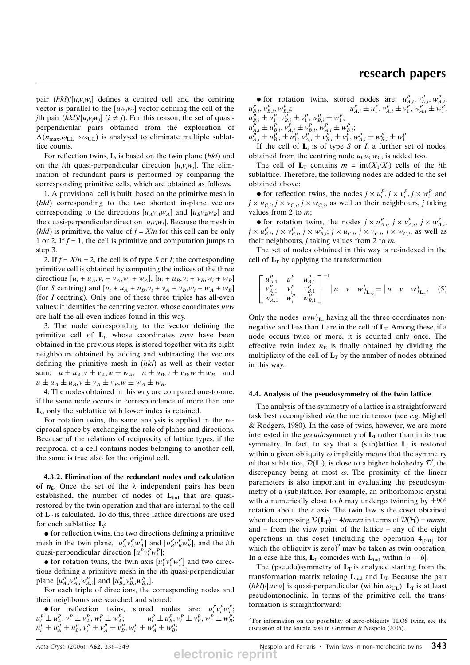pair  $(hkl)/[u_iv_iw_i]$  defines a centred cell and the centring vector is parallel to the  $[u_i v_i w_j]$  vector defining the cell of the jth pair  $(hkl)/[u_iv_jw_j]$   $(i \neq j)$ . For this reason, the set of quasiperpendicular pairs obtained from the exploration of  $\Lambda(n_{\text{max}}, \omega_{\text{LL}} \rightarrow \omega_{\text{UL}})$  is analysed to eliminate multiple sublattice counts.

For reflection twins,  $\mathbf{L}_i$  is based on the twin plane (hkl) and on the *i*th quasi-perpendicular direction  $[u_i v_i w_i]$ . The elimination of redundant pairs is performed by comparing the corresponding primitive cells, which are obtained as follows.

1. A provisional cell is built, based on the primitive mesh in (hkl) corresponding to the two shortest in-plane vectors corresponding to the directions  $[u_A v_A w_A]$  and  $[u_B v_B w_B]$  and the quasi-perpendicular direction  $[u_i v_i w_i]$ . Because the mesh in *(hkl)* is primitive, the value of  $f = X/n$  for this cell can be only 1 or 2. If  $f = 1$ , the cell is primitive and computation jumps to step 3.

2. If  $f = X/n = 2$ , the cell is of type S or I; the corresponding primitive cell is obtained by computing the indices of the three directions  $[u_i + u_A, v_i + v_A, w_i + w_A], [u_i + u_B, v_i + v_B, w_i + w_B]$ (for S centring) and  $[u_i + u_A + u_B, v_i + v_A + v_B, w_i + w_A + w_B]$ (for I centring). Only one of these three triples has all-even values: it identifies the centring vector, whose coordinates uvw are half the all-even indices found in this way.

3. The node corresponding to the vector defining the primitive cell of  $L_i$ , whose coordinates uvw have been obtained in the previous steps, is stored together with its eight neighbours obtained by adding and subtracting the vectors defining the primitive mesh in (hkl) as well as their vector sum:  $u \pm u_A$ ,  $v \pm v_A$ ,  $w \pm w_A$ ,  $u \pm u_B$ ,  $v \pm v_B$ ,  $w \pm w_B$  and  $u \pm u_A \pm u_B$ ,  $v \pm v_A \pm v_B$ ,  $w \pm w_A \pm w_B$ .

4. The nodes obtained in this way are compared one-to-one: if the same node occurs in correspondence of more than one  $L_i$ , only the sublattice with lower index is retained.

For rotation twins, the same analysis is applied in the reciprocal space by exchanging the role of planes and directions. Because of the relations of reciprocity of lattice types, if the reciprocal of a cell contains nodes belonging to another cell, the same is true also for the original cell.

4.3.2. Elimination of the redundant nodes and calculation of  $n_F$ . Once the set of the  $\lambda$  independent pairs has been established, the number of nodes of  $L_{ind}$  that are quasirestored by the twin operation and that are internal to the cell of  $L_T$  is calculated. To do this, three lattice directions are used for each sublattice Li:

 $\bullet$  for reflection twins, the two directions defining a primitive mesh in the twin plane,  $[u_A^P v_A^P w_A^P]$  and  $[u_B^P v_B^P w_B^P]$ , and the *i*th quasi-perpendicular direction  $[u_i^P v_i^P w_i^P]$ ;

• for rotation twins, the twin axis  $[u_1^P v_1^P w_1^P]$  and two directions defining a primitive mesh in the ith quasi-perpendicular plane  $[u_{A,i}^P v_{A,i}^P w_{A,i}^P]$  and  $[u_{B,i}^P v_{B,i}^P w_{B,i}^P]$ .

For each triple of directions, the corresponding nodes and their neighbours are searched and stored:

• for reflection twins, stored nodes are:  $u_i^P v_i^P w_i^P$ ;  $u_i^P \pm u_A^P, v_i^P \pm v_A^P, w_i^P \pm w_A^P;$   $u_i^P \pm u_B^P, v_i^P \pm v_B^P, w_i^P \pm w_B^P;$  $u_i^P \pm u_A^P \pm u_B^P, v_i^P \pm v_A^P \pm v_B^P, w_i^P \pm w_A^P \pm w_B^P;$ 

• for rotation twins, stored nodes are:  $u_{A,i}^P$ ,  $v_{A,i}^P$ ,  $w_{A,i}^P$ ;  $u_{B,i}^P$ ,  $v_{B,i}^P$ ,  $w_{B,i}^P$ ;  $u_{B,i}^P$ ,  $v_{B,i}^P$ ,  $w_{B,i}^P$ ,  $v_{B,i}^P \pm v_1^P$ ,  $w_{B,i}^P \pm w_1^P$ ;  $v_{B,i}^P$ ,  $v_{B,i}^P$ ;<br> $u_{A,i}^P \pm u_1^P$ ,  $v_{A,i}^P \pm v_1^P$ ,  $w_{A,i}^P \pm w_1^P$ ;  $u_{A,i}^P \pm u_{B,i}^P, v_{A,i}^P \pm v_{B,i}^P, w_{A,i}^P \pm w_{B,i}^P;$ 

 $u_{A,i}^P \pm u_{B,i}^P \pm u_1^P, v_{A,i}^P \pm v_{B,i}^P \pm v_1^P, w_{A,i}^P \pm w_{B,i}^P \pm w_1^P.$ 

If the cell of  $L_i$  is of type S or I, a further set of nodes, obtained from the centring node  $u_{\rm C}v_{\rm C}w_{\rm C}$ , is added too.

The cell of  $L_T$  contains  $m = \text{int}(X_1/X_i)$  cells of the *i*th sublattice. Therefore, the following nodes are added to the set obtained above:

• for reflection twins, the nodes  $j \times u_i^P$ ,  $j \times v_i^P$ ,  $j \times w_i^P$  and  $j \times u_{\text{C},i}, j \times v_{\text{C},i}, j \times w_{\text{C},i}$ , as well as their neighbours, j taking values from 2 to m;

• for rotation twins, the nodes  $j \times u_{A,i}^P$ ,  $j \times v_{A,i}^P$ ,  $j \times w_{A,i}^P$ ;  $j \times u_{B,i}^P$ ,  $j \times v_{B,i}^P$ ,  $j \times w_{B,i}^P$ ;  $j \times u_{C,i}$ ,  $j \times v_{C,i}$ ,  $j \times w_{C,i}$ , as well as their neighbours,  $j$  taking values from 2 to  $m$ .

The set of nodes obtained in this way is re-indexed in the cell of  $L_T$  by applying the transformation

$$
\begin{bmatrix} u_{A,1}^P & u_{A,1}^P & u_{B,1}^P \\ v_{A,1}^P & v_{A}^P & v_{B,1}^P \\ w_{A,1}^P & w_{A}^P & w_{B,1}^P \end{bmatrix}^{-1} | u \quad v \quad w \rangle_{\mathbf{L}_{ind}} = | u \quad v \quad w \rangle_{\mathbf{L}_{\mathrm{T}}}.
$$
 (5)

Only the nodes  $|uvw\rangle_{\mathbf{L}_r}$  having all the three coordinates nonnegative and less than 1 are in the cell of  $L<sub>T</sub>$ . Among these, if a node occurs twice or more, it is counted only once. The effective twin index  $n_E$  is finally obtained by dividing the multiplicity of the cell of  $L_T$  by the number of nodes obtained in this way.

### 4.4. Analysis of the pseudosymmetry of the twin lattice

The analysis of the symmetry of a lattice is a straightforward task best accomplished via the metric tensor (see e.g. Mighell & Rodgers, 1980). In the case of twins, however, we are more interested in the *pseudosymmetry* of  $L_T$  rather than in its true symmetry. In fact, to say that a (sub)lattice  $L_i$  is restored within a given obliquity  $\omega$  implicitly means that the symmetry of that sublattice,  $\mathcal{D}(\mathbf{L}_i)$ , is close to a higher holohedry  $\mathcal{D}'$ , the discrepancy being at most  $\omega$ . The proximity of the linear parameters is also important in evaluating the pseudosymmetry of a (sub)lattice. For example, an orthorhombic crystal with a numerically close to b may undergo twinning by  $\pm 90^\circ$ rotation about the  $c$  axis. The twin law is the coset obtained when decomposing  $\mathcal{D}(L_T) = 4/mmm$  in terms of  $\mathcal{D}(\mathcal{H}) = mmm$ , and – from the view point of the lattice – any of the eight operations in this coset (including the operation  $4_{[001]}$  for which the obliquity is zero)<sup>7</sup> may be taken as twin operation. In a case like this,  $\mathbf{L}_T$  coincides with  $\mathbf{L}_{ind}$  within  $|a - b|$ .

The (pseudo)symmetry of  $L_T$  is analysed starting from the transformation matrix relating  $L_{ind}$  and  $L_T$ . Because the pair  $(hkl)/[uvw]$  is quasi-perpendicular (within  $\omega_{UL}$ ),  $L_T$  is at least pseudomonoclinic. In terms of the primitive cell, the transformation is straightforward:

<sup>7</sup> For information on the possibility of zero-obliquity TLQS twins, see the discussion of the leucite case in Grimmer & Nespolo (2006).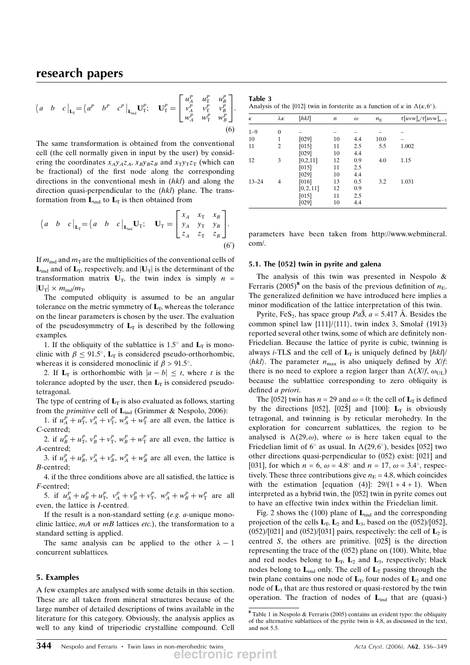$$
\begin{aligned}\n\begin{pmatrix} a & b & c \end{pmatrix}_{\mathbf{L}_{\mathrm{T}}} = \begin{pmatrix} a^P & b^P & c^P \end{pmatrix}_{\mathbf{L}_{\mathrm{ind}}} \mathbf{U}_{\mathrm{T}}^P; \quad \mathbf{U}_{\mathrm{T}}^P = \begin{bmatrix} u_A^P & u_A^P & u_B^P \\ v_A^P & v_\mathrm{T}^P & v_B^P \\ w_A^P & w_\mathrm{T}^P & w_B^P \end{bmatrix}.\n\end{aligned}
$$
\n(6)

The same transformation is obtained from the conventional cell (the cell normally given in input by the user) by considering the coordinates  $x_A y_A z_A$ ,  $x_B y_B z_B$  and  $x_T y_T z_T$  (which can be fractional) of the first node along the corresponding directions in the conventional mesh in (hkl) and along the direction quasi-perpendicular to the (hkl) plane. The transformation from  $\mathbf{L}_{ind}$  to  $\mathbf{L}_{T}$  is then obtained from

$$
\begin{pmatrix} a & b & c \end{pmatrix}_{\mathbf{L}_{\mathrm{T}}} = \begin{pmatrix} a & b & c \end{pmatrix}_{\mathbf{L}_{\mathrm{ind}}} \mathbf{U}_{\mathrm{T}}; \quad \mathbf{U}_{\mathrm{T}} = \begin{bmatrix} x_A & x_{\mathrm{T}} & x_B \\ y_A & y_{\mathrm{T}} & y_B \\ z_A & z_{\mathrm{T}} & z_B \end{bmatrix}.
$$
\n(6')

If  $m_{\text{ind}}$  and  $m_{\text{T}}$  are the multiplicities of the conventional cells of  $\mathbf{L}_{ind}$  and of  $\mathbf{L}_T$ , respectively, and  $|\mathbf{U}_T|$  is the determinant of the transformation matrix  $U_T$ , the twin index is simply  $n =$  $|\mathbf{U}_\text{T}| \times m_{\text{ind}}/m_{\text{T}}$ .

The computed obliquity is assumed to be an angular tolerance on the metric symmetry of  $L_T$ , whereas the tolerance on the linear parameters is chosen by the user. The evaluation of the pseudosymmetry of  $L<sub>T</sub>$  is described by the following examples.

1. If the obliquity of the sublattice is 1.5 $\degree$  and  $L_T$  is monoclinic with  $\beta \leq 91.5^{\circ}$ ,  $L_T$  is considered pseudo-orthorhombic, whereas it is considered monoclinic if  $\beta > 91.5^{\circ}$ .

2. If  $\mathbf{L}_{\text{T}}$  is orthorhombic with  $|a - b| \leq t$ , where t is the tolerance adopted by the user, then  $L_T$  is considered pseudotetragonal.

The type of centring of  $L_T$  is also evaluated as follows, starting from the *primitive* cell of  $L_{ind}$  (Grimmer & Nespolo, 2006):

1. if  $u_A^P + u_{\rm T}^P$ ,  $v_A^P + v_{\rm T}^P$ ,  $w_A^P + w_{\rm T}^P$  are all even, the lattice is C-centred;

2. if  $u_B^P + u_{\rm T}^P$ ,  $v_B^P + v_{\rm T}^P$ ,  $w_B^P + w_{\rm T}^P$  are all even, the lattice is A-centred;

3. if  $u_A^P + u_B^P$ ,  $v_A^P + v_B^P$ ,  $w_A^P + w_B^P$  are all even, the lattice is B-centred;

4. if the three conditions above are all satisfied, the lattice is F-centred;

5. if  $u_A^P + u_B^P + u_T^P$ ,  $v_A^P + v_B^P + v_T^P$ ,  $w_A^P + w_B^P + w_T^P$  are all even, the lattice is I-centred.

If the result is a non-standard setting  $(e.g. a$ -unique monoclinic lattice,  $mA$  or  $mB$  lattices etc.), the transformation to a standard setting is applied.

The same analysis can be applied to the other  $\lambda - 1$ concurrent sublattices.

### 5. Examples

A few examples are analysed with some details in this section. These are all taken from mineral structures because of the large number of detailed descriptions of twins available in the literature for this category. Obviously, the analysis applies as well to any kind of triperiodic crystalline compound. Cell

| Table 3                                                                                                  |  |  |  |
|----------------------------------------------------------------------------------------------------------|--|--|--|
| Analysis of the $\{012\}$ twin in forsterite as a function of $\kappa$ in $\Lambda(\kappa, 6^{\circ})$ . |  |  |  |

| κ         | λκ             | [hkl]      | $\boldsymbol{n}$ | $\omega$ | $n_{\rm E}$ | $\tau [uvw]_{\kappa}/\tau [uvw]_{\kappa-1}$ |
|-----------|----------------|------------|------------------|----------|-------------|---------------------------------------------|
| $1 - 9$   | $\theta$       |            |                  |          |             |                                             |
| 10        | $\mathbf{1}$   | [029]      | 10               | 4.4      | 10.0        |                                             |
| 11        | $\overline{c}$ | [015]      | 11               | 2.5      | 5.5         | 1.002                                       |
|           |                | [029]      | 10               | 4.4      |             |                                             |
| 12        | 3              | [0,2,11]   | 12               | 0.9      | 4.0         | 1.15                                        |
|           |                | [015]      | 11               | 2.5      |             |                                             |
|           |                | [029]      | 10               | 4.4      |             |                                             |
| $13 - 24$ | 4              | [016]      | 13               | 0.5      | 3.2         | 1.031                                       |
|           |                | [0, 2, 11] | 12               | 0.9      |             |                                             |
|           |                | [015]      | 11               | 2.5      |             |                                             |
|           |                | [029]      | 10               | 4.4      |             |                                             |
|           |                |            |                  |          |             |                                             |

parameters have been taken from http://www.webmineral. com/.

### 5.1. The {052} twin in pyrite and galena

The analysis of this twin was presented in Nespolo & Ferraris (2005)<sup>8</sup> on the basis of the previous definition of  $n<sub>E</sub>$ . The generalized definition we have introduced here implies a minor modification of the lattice interpretation of this twin.

Pyrite, FeS<sub>2</sub>, has space group  $Pa\bar{3}$ ,  $a = 5.417 \text{ Å}$ . Besides the common spinel law  $\{111\}/\{111\}$ , twin index 3, Smolar̃ (1913) reported several other twins, some of which are definitely non-Friedelian. Because the lattice of pyrite is cubic, twinning is always *i*-TLS and the cell of  $L_T$  is uniquely defined by  $\{hkl\}$  $\langle hkl \rangle$ . The parameter  $n_{\text{max}}$  is also uniquely defined by X/f: there is no need to explore a region larger than  $\Lambda(X/f, \omega_{\text{UL}})$ because the sublattice corresponding to zero obliquity is defined a priori.

The {052} twin has  $n = 29$  and  $\omega = 0$ : the cell of  $L_T$  is defined by the directions [052], [025] and [100]:  $L_T$  is obviously tetragonal, and twinning is by reticular merohedry. In the exploration for concurrent sublattices, the region to be analysed is  $\Lambda(29,\omega)$ , where  $\omega$  is here taken equal to the Friedelian limit of  $6^\circ$  as usual. In  $\Lambda(29,6^\circ)$ , besides [052] two other directions quasi-perpendicular to (052) exist: [021] and [031], for which  $n = 6$ ,  $\omega = 4.8^{\circ}$  and  $n = 17$ ,  $\omega = 3.4^{\circ}$ , respectively. These three contributions give  $n<sub>E</sub> = 4.8$ , which coincides with the estimation [equation (4)]:  $29/(1 + 4 + 1)$ . When interpreted as a hybrid twin, the {052} twin in pyrite comes out to have an effective twin index within the Friedelian limit.

Fig. 2 shows the (100) plane of  $L_{ind}$  and the corresponding projection of the cells  $L_T$ ,  $L_2$  and  $L_3$ , based on the (052)/[052],  $(052)/[021]$  and  $(052)/[031]$  pairs, respectively: the cell of  $L<sub>2</sub>$  is centred S, the others are primitive.  $[02\overline{5}]$  is the direction representing the trace of the (052) plane on (100). White, blue and red nodes belong to  $L_T$ ,  $L_2$  and  $L_3$ , respectively; black nodes belong to  $L_{ind}$  only. The cell of  $L_T$  passing through the twin plane contains one node of  $L_T$ , four nodes of  $L_2$  and one node of  $\mathbf{L}_3$  that are thus restored or quasi-restored by the twin operation. The fraction of nodes of  $L_{ind}$  that are (quasi-)

<sup>8</sup> Table 1 in Nespolo & Ferraris (2005) contains an evident typo: the obliquity of the alternative sublattices of the pyrite twin is 4.8, as discussed in the text, and not 5.5.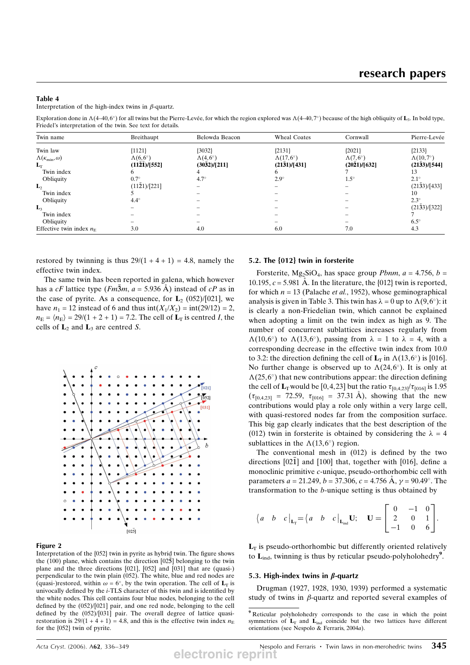### Table 4

Interpretation of the high-index twins in  $\beta$ -quartz.

Exploration done in  $\Lambda$ (4–40, 6°) for all twins but the Pierre-Levée, for which the region explored was  $\Lambda$ (4–40, 7°) because of the high obliquity of  $\mathbf{L}_3$ . In bold type, Friedel's interpretation of the twin. See text for details.

| Twin name                                 | Breithaupt                             | Belowda Beacon                         | <b>Wheal Coates</b>                     | Cornwall                               | Pierre-Levée                            |
|-------------------------------------------|----------------------------------------|----------------------------------------|-----------------------------------------|----------------------------------------|-----------------------------------------|
| Twin law                                  | ${1121}$                               | ${3032}$                               | ${2131}$                                | ${2021}$                               | ${2133}$                                |
| $\Lambda(\kappa_{\min}, \omega)$<br>$L_T$ | $\Lambda(6,6^{\circ})$<br>(1121)/[552] | $\Lambda(4,6^{\circ})$<br>(3032)/[211] | $\Lambda(17,6^{\circ})$<br>(2131)/[431] | $\Lambda(7,6^{\circ})$<br>(2021)/[632] | $\Lambda(10,7^{\circ})$<br>(2133)/[544] |
| Twin index                                |                                        |                                        |                                         |                                        |                                         |
| Obliquity                                 | $0.7^\circ$                            | $4.7^\circ$                            | $2.9^\circ$                             | $1.5^\circ$                            | $2.1^\circ$                             |
| $\mathbf{L}_2$                            | (1121)/[221]                           |                                        |                                         |                                        | (2133)/[433]                            |
| Twin index                                |                                        |                                        |                                         |                                        | 10                                      |
| Obliquity                                 | $4.4^\circ$                            |                                        |                                         |                                        | $2.3^\circ$                             |
| $\mathbf{L}_3$                            |                                        |                                        |                                         |                                        | (2133)/[322]                            |
| Twin index                                |                                        |                                        |                                         |                                        |                                         |
| Obliquity                                 |                                        |                                        |                                         |                                        | $6.5^\circ$                             |
| Effective twin index $n_F$                | 3.0                                    | 4.0                                    | 6.0                                     | 7.0                                    | 4.3                                     |

restored by twinning is thus  $29/(1 + 4 + 1) = 4.8$ , namely the effective twin index.

The same twin has been reported in galena, which however has a cF lattice type  $(Fm\overline{3}m, a = 5.936 \text{ Å})$  instead of cP as in the case of pyrite. As a consequence, for  $\mathbf{L}_2$  (052)/[021], we have  $n_1 = 12$  instead of 6 and thus  $int(X_1/X_2) = int(29/12) = 2$ ,  $n_E = (n_E) = 29/(1 + 2 + 1) = 7.2$ . The cell of  $L_T$  is centred *I*, the cells of  $\mathbf{L}_2$  and  $\mathbf{L}_3$  are centred S.



#### Figure 2

Interpretation of the {052} twin in pyrite as hybrid twin. The figure shows the  $(100)$  plane, which contains the direction  $[02\overline{5}]$  belonging to the twin plane and the three directions [021], [052] and [031] that are (quasi-) perpendicular to the twin plain (052). The white, blue and red nodes are (quasi-)restored, within  $\omega = 6^{\circ}$ , by the twin operation. The cell of  $L_T$  is univocally defined by the i-TLS character of this twin and is identified by the white nodes. This cell contains four blue nodes, belonging to the cell defined by the (052)/[021] pair, and one red node, belonging to the cell defined by the (052)/[031] pair. The overall degree of lattice quasirestoration is  $29/(1 + 4 + 1) = 4.8$ , and this is the effective twin index  $n<sub>E</sub>$ for the {052} twin of pyrite.

### 5.2. The {012} twin in forsterite

Forsterite, Mg<sub>2</sub>SiO<sub>4</sub>, has space group *Pbnm*,  $a = 4.756$ ,  $b =$ 10.195,  $c = 5.981$  Å. In the literature, the  $\{012\}$  twin is reported, for which  $n = 13$  (Palache *et al.*, 1952), whose geminographical analysis is given in Table 3. This twin has  $\lambda = 0$  up to  $\Lambda(9,6^{\circ})$ : it is clearly a non-Friedelian twin, which cannot be explained when adopting a limit on the twin index as high as 9. The number of concurrent sublattices increases regularly from  $\Lambda(10,6^{\circ})$  to  $\Lambda(13,6^{\circ})$ , passing from  $\lambda = 1$  to  $\lambda = 4$ , with a corresponding decrease in the effective twin index from 10.0 to 3.2: the direction defining the cell of  $L_T$  in  $\Lambda(13,6^{\circ})$  is [016]. No further change is observed up to  $\Lambda(24,6^{\circ})$ . It is only at  $\Lambda$ (25,6°) that new contributions appear: the direction defining the cell of  $L_T$  would be [0,4,23] but the ratio  $\tau_{[0,4,23]}/\tau_{[016]}$  is 1.95  $(\tau_{[0,4,23]} = 72.59, \tau_{[0,16]} = 37.31 \text{ Å})$ , showing that the new contributions would play a role only within a very large cell, with quasi-restored nodes far from the composition surface. This big gap clearly indicates that the best description of the (012) twin in forsterite is obtained by considering the  $\lambda = 4$ sublattices in the  $\Lambda(13,6^{\circ})$  region.

The conventional mesh in (012) is defined by the two directions  $[02\overline{1}]$  and  $[100]$  that, together with  $[016]$ , define a monoclinic primitive c-unique, pseudo-orthorhombic cell with parameters  $a = 21.249$ ,  $b = 37.306$ ,  $c = 4.756$  Å,  $v = 90.49^{\circ}$ . The transformation to the b-unique setting is thus obtained by

$$
\begin{pmatrix} a & b & c \end{pmatrix}_{L_T} = \begin{pmatrix} a & b & c \end{pmatrix}_{L_{ind}} \mathbf{U}; \quad \mathbf{U} = \begin{bmatrix} 0 & -1 & 0 \\ 2 & 0 & 1 \\ -1 & 0 & 6 \end{bmatrix}.
$$

 $L_T$  is pseudo-orthorhombic but differently oriented relatively to  $\mathbf{L}_{\text{ind}}$ , twinning is thus by reticular pseudo-polyholohedry<sup>9</sup>.

#### 5.3. High-index twins in  $\beta$ -quartz

Drugman (1927, 1928, 1930, 1939) performed a systematic study of twins in  $\beta$ -quartz and reported several examples of

<sup>9</sup> Reticular polyholohedry corresponds to the case in which the point symmetries of  $L_T$  and  $L_{ind}$  coincide but the two lattices have different orientations (see Nespolo & Ferraris, 2004a).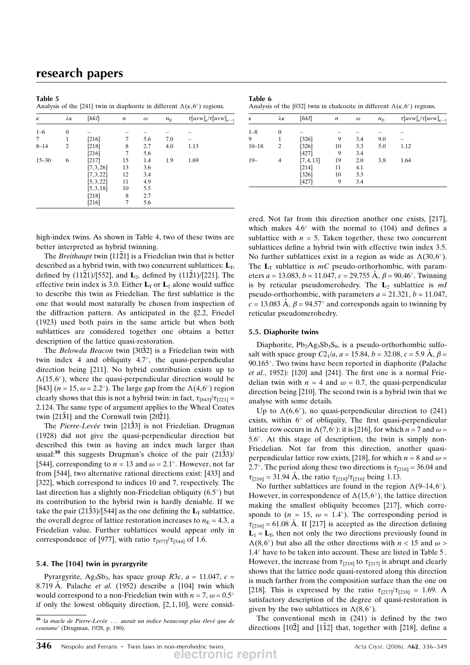| Table 5<br>Analysis of the $\{241\}$ twin in diaphorite in different $\Lambda(\kappa, 6^{\circ})$ regions. |                  |            |    |          |             |                                             |
|------------------------------------------------------------------------------------------------------------|------------------|------------|----|----------|-------------|---------------------------------------------|
| К                                                                                                          | $\lambda \kappa$ | [hkl]      | n  | $\omega$ | $n_{\rm E}$ | $\tau [uvw]_{\kappa}/\tau [uvw]_{\kappa-1}$ |
| $1 - 6$                                                                                                    | 0                |            |    |          |             |                                             |
| 7                                                                                                          | 1                | $[216]$    | 7  | 5.6      | 7.0         |                                             |
| $8 - 14$                                                                                                   | $\overline{c}$   | [218]      | 8  | 2.7      | 4.0         | 1.13                                        |
|                                                                                                            |                  | [216]      | 7  | 5.6      |             |                                             |
| $15 - 30$                                                                                                  | 6                | [217]      | 15 | 1.4      | 1.9         | 1.69                                        |
|                                                                                                            |                  | [7, 3, 26] | 13 | 3.6      |             |                                             |
|                                                                                                            |                  | [7, 3, 22] | 12 | 3.4      |             |                                             |
|                                                                                                            |                  | [5, 3, 22] | 11 | 4.9      |             |                                             |
|                                                                                                            |                  | [5,3,18]   | 10 | 5.5      |             |                                             |
|                                                                                                            |                  | [218]      | 8  | 2.7      |             |                                             |
|                                                                                                            |                  | [216]      | 7  | 5.6      |             |                                             |

Table 6 Analysis of the {032} twin in chalcocite in different  $\Lambda(\kappa, 6^{\circ})$  regions.

| К         | λκ           | [hkl]      | n  | $\omega$ | $n_{\rm E}$ | $\tau [uvw]_{\kappa}/\tau [uvw]_{\kappa-1}$ |
|-----------|--------------|------------|----|----------|-------------|---------------------------------------------|
| $1 - 8$   | $\mathbf{0}$ |            |    |          |             |                                             |
| 9         |              | $[326]$    | 9  | 3.4      | 9.0         |                                             |
| $10 - 18$ | 2            | $[326]$    | 10 | 3.3      | 5.0         | 1.12                                        |
|           |              | $[427]$    | 9  | 3.4      |             |                                             |
| $19-$     | 4            | [7, 4, 13] | 19 | 2.0      | 3.8         | 1.64                                        |
|           |              | $[214]$    | 11 | 4.1      |             |                                             |
|           |              | $[326]$    | 10 | 3.3      |             |                                             |
|           |              | [427]      | 9  | 3.4      |             |                                             |

high-index twins. As shown in Table 4, two of these twins are better interpreted as hybrid twinning.

The Breithaupt twin  $\{11\bar{2}1\}$  is a Friedelian twin that is better described as a hybrid twin, with two concurrent sublattices:  $L<sub>T</sub>$ , defined by  $(11\bar{2}1)/[552]$ , and  $\mathbf{L}_2$ , defined by  $(11\bar{2}1)/[221]$ . The effective twin index is 3.0. Either  $L_T$  or  $L_2$  alone would suffice to describe this twin as Friedelian. The first sublattice is the one that would most naturally be chosen from inspection of the diffraction pattern. As anticipated in the  $\S 2.2$ , Friedel (1923) used both pairs in the same article but when both sublattices are considered together one obtains a better description of the lattice quasi-restoration.

The Belowda Beacon twin  $\{30\bar{3}2\}$  is a Friedelian twin with twin index 4 and obliquity  $4.7^{\circ}$ , the quasi-perpendicular direction being [211]. No hybrid contribution exists up to  $\Lambda(15,6)$ , where the quasi-perpendicular direction would be [843] ( $n = 15$ ,  $\omega = 2.2^{\circ}$ ). The large gap from the  $\Lambda(4,6^{\circ})$  region clearly shows that this is not a hybrid twin: in fact,  $\tau_{[843]}/\tau_{[221]} =$ 2.124. The same type of argument applies to the Wheal Coates twin  $\{21\overline{3}1\}$  and the Cornwall twin  $\{20\overline{2}1\}$ .

The Pierre-Levée twin {2133} is not Friedelian. Drugman (1928) did not give the quasi-perpendicular direction but described this twin as having an index much larger than usual:<sup>10</sup> this suggests Drugman's choice of the pair  $(21\bar{3}3)/$ [544], corresponding to  $n = 13$  and  $\omega = 2.1^{\circ}$ . However, not far from [544], two alternative rational directions exist: [433] and [322], which correspond to indices 10 and 7, respectively. The last direction has a slightly non-Friedelian obliquity  $(6.5^{\circ})$  but its contribution to the hybrid twin is hardly deniable. If we take the pair (2133)/[544] as the one defining the  $L_T$  sublattice, the overall degree of lattice restoration increases to  $n<sub>E</sub> = 4.3$ , a Friedelian value. Further sublattices would appear only in correspondence of [977], with ratio  $\tau_{[977]}/\tau_{[544]}$  of 1.6.

## 5.4. The {104} twin in pyrargyrite

Pyrargyrite, Ag<sub>3</sub>Sb<sub>3</sub>, has space group R3c,  $a = 11.047$ ,  $c =$ 8.719 Å. Palache et al. (1952) describe a  $\{104\}$  twin which would correspond to a non-Friedelian twin with  $n = 7$ ,  $\omega = 0.5^{\circ}$ if only the lowest obliquity direction, [2,1,10], were considered. Not far from this direction another one exists, [217], which makes  $4.6^{\circ}$  with the normal to (104) and defines a sublattice with  $n = 5$ . Taken together, these two concurrent sublattices define a hybrid twin with effective twin index 3.5. No further sublattices exist in a region as wide as  $\Lambda(30,6^{\circ})$ . The  $L_T$  sublattice is  $mC$  pseudo-orthorhombic, with parameters  $a = 13.083$ ,  $b = 11.047$ ,  $c = 29.755$  Å,  $\beta = 90.46^{\circ}$ . Twinning is by reticular pseudomerohedry. The  $L_2$  sublattice is mI pseudo-orthorhombic, with parameters  $a = 21.321$ ,  $b = 11.047$ ,  $c = 13.083$  Å,  $\beta = 94.57^{\circ}$  and corresponds again to twinning by reticular pseudomerohedry.

### 5.5. Diaphorite twins

Diaphorite,  $Pb_2Ag_3Sb_3S_8$ , is a pseudo-orthorhombic sulfosalt with space group  $C_2/a$ ,  $a = 15.84$ ,  $b = 32.08$ ,  $c = 5.9$  Å,  $\beta =$  $90.165^{\circ}$ . Two twins have been reported in diaphorite (Palache et al., 1952):  $\{120\}$  and  $\{241\}$ . The first one is a normal Friedelian twin with  $n = 4$  and  $\omega = 0.7$ , the quasi-perpendicular direction being [210]. The second twin is a hybrid twin that we analyse with some details.

Up to  $\Lambda(6,6^{\circ})$ , no quasi-perpendicular direction to (241) exists, within  $6^\circ$  of obliquity, The first quasi-perpendicular lattice row occurs in  $\Lambda(7,6^{\circ})$ : it is [216], for which  $n = 7$  and  $\omega =$  $5.6^\circ$ . At this stage of description, the twin is simply non-Friedelian. Not far from this direction, another quasiperpendicular lattice row exists, [218], for which  $n = 8$  and  $\omega =$ 2.7°. The period along these two directions is  $\tau_{[218]} = 36.04$  and  $\tau_{[216]} = 31.94 \text{ Å}$ , the ratio  $\tau_{[218]}/\tau_{[216]}$  being 1.13.

No further sublattices are found in the region  $\Lambda(9-14,6^{\circ})$ . However, in correspondence of  $\Lambda(15,6^{\circ})$ , the lattice direction making the smallest obliquity becomes [217], which corresponds to  $(n = 15, \omega = 1.4^{\circ})$ . The corresponding period is  $\tau_{[216]}$  = 61.08 Å. If [217] is accepted as the direction defining  $L_1 = L_T$ , then not only the two directions previously found in  $\Lambda(8,6^{\circ})$  but also all the other directions with  $n < 15$  and  $\omega$  $1.4^{\circ}$  have to be taken into account. These are listed in Table 5. However, the increase from  $\tau_{[218]}$  to  $\tau_{[217]}$  is abrupt and clearly shows that the lattice node quasi-restored along this direction is much farther from the composition surface than the one on [218]. This is expressed by the ratio  $\tau_{[217]}/\tau_{[218]} = 1.69$ . A satisfactory description of the degree of quasi-restoration is given by the two sublattices in  $\Lambda(8,6^{\circ})$ .

The conventional mesh in (241) is defined by the two directions  $[10\overline{2}]$  and  $[1\overline{1}2]$  that, together with  $[218]$ , define a

 $\overline{10}$ 'la macle de Pierre-Levée  $\ldots$  aurait un indice beaucoup plus élevé que de coutume' (Drugman, 1928, p. 190).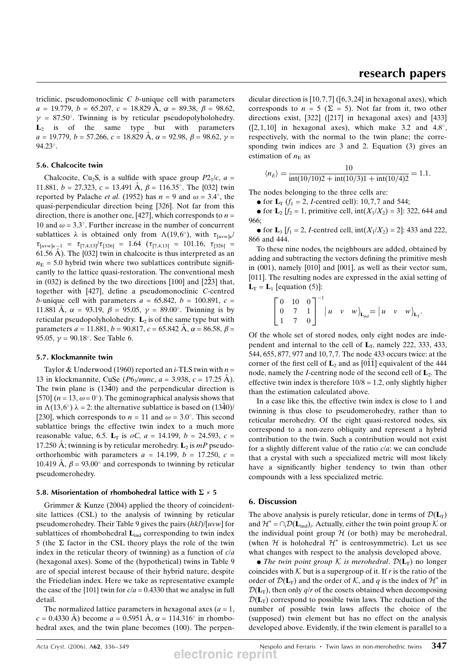triclinic, pseudomonoclinic  $C$  b-unique cell with parameters  $a = 19.779$ ,  $b = 65.207$ ,  $c = 18.829$  Å,  $\alpha = 89.38$ ,  $\beta = 98.62$ ,  $y = 87.50^{\circ}$ . Twinning is by reticular pseudopolyholohedry.  $L_2$  is of the same type but with parameters  $a = 19.779$ ,  $b = 57.266$ ,  $c = 18.829$  Å,  $\alpha = 92.98$ ,  $\beta = 98.62$ ,  $\gamma =$ 94.23°.

### 5.6. Chalcocite twin

Chalcocite, Cu<sub>2</sub>S, is a sulfide with space group  $P2_1/c$ ,  $a =$ 11.881,  $b = 27.323$ ,  $c = 13.491$  Å,  $\beta = 116.35^{\circ}$ . The {032} twin reported by Palache *et al.* (1952) has  $n = 9$  and  $\omega = 3.4^{\circ}$ , the quasi-perpendicular direction being [326]. Not far from this direction, there is another one, [427], which corresponds to  $n =$ 10 and  $\omega = 3.3^{\circ}$ . Further increase in the number of concurrent sublattices  $\lambda$  is obtained only from  $\Lambda(19,6^{\circ})$ , with  $\tau_{[uvw]k}$  $\tau_{[uvw]_{K-1}} = \tau_{[7,4,13]} / \tau_{[326]} = 1.64 \left( \tau_{[7,4,13]} = 101.16, \tau_{[326]} = \right)$ 61.56 Å). The  $\{032\}$  twin in chalcocite is thus interpreted as an  $n<sub>E</sub>$  = 5.0 hybrid twin where two sublattices contribute significantly to the lattice quasi-restoration. The conventional mesh in (032) is defined by the two directions [100] and [22 $\bar{2}3$ ] that, together with [427], define a pseudomonoclinic C-centred b-unique cell with parameters  $a = 65.842$ ,  $b = 100.891$ ,  $c =$ 11.881 Å,  $\alpha = 93.19$ ,  $\beta = 95.05$ ,  $\gamma = 89.00^{\circ}$ . Twinning is by reticular pseudopolyholohedry.  $L_2$  is of the same type but with parameters  $a = 11.881$ ,  $b = 90.817$ ,  $c = 65.842$  Å,  $\alpha = 86.58$ ,  $\beta =$ 95.05,  $\gamma = 90.18^{\circ}$ . See Table 6.

### 5.7. Klockmannite twin

Taylor & Underwood (1960) reported an *i*-TLS twin with  $n =$ 13 in klockmannite, CuSe ( $P6_3/mmc$ ,  $a = 3.938$ ,  $c = 17.25$  Å). The twin plane is  $(1340)$  and the perpendicular direction is [570]  $(n = 13, \omega = 0^{\circ})$ . The geminographical analysis shows that in  $\Lambda(13,6^{\circ})$   $\lambda = 2$ : the alternative sublattice is based on  $(1340)$ / [230], which corresponds to  $n = 11$  and  $\omega = 3.0^{\circ}$ . This second sublattice brings the effective twin index to a much more reasonable value, 6.5.  $L_T$  is  $oC$ ,  $a = 14.199$ ,  $b = 24.593$ ,  $c =$ 17.250 Å; twinning is by reticular merohedry.  $\mathbf{L}_2$  is *mP* pseudoorthorhombic with parameters  $a = 14.199$ ,  $b = 17.250$ ,  $c =$ 10.419 Å,  $\beta$  = 93.00° and corresponds to twinning by reticular pseudomerohedry.

### 5.8. Misorientation of rhombohedral lattice with  $\Sigma = 5$

Grimmer & Kunze (2004) applied the theory of coincidentsite lattices (CSL) to the analysis of twinning by reticular pseudomerohedry. Their Table 9 gives the pairs (hkl)/[uvw] for sublattices of rhombohedral  $L_{ind}$  corresponding to twin index 5 (the  $\Sigma$  factor in the CSL theory plays the role of the twin index in the reticular theory of twinning) as a function of  $c/a$ (hexagonal axes). Some of the (hypothetical) twins in Table 9 are of special interest because of their hybrid nature, despite the Friedelian index. Here we take as representative example the case of the  $\{101\}$  twin for  $c/a = 0.4330$  that we analyse in full detail.

The normalized lattice parameters in hexagonal axes  $(a = 1,$  $c = 0.4330$  Å) become  $a = 0.5951$  Å,  $\alpha = 114.316^{\circ}$  in rhombohedral axes, and the twin plane becomes (100). The perpendicular direction is [10,7,7] ([6,3,24] in hexagonal axes), which corresponds to  $n = 5$  ( $\Sigma = 5$ ). Not far from it, two other directions exist, [322] ([217] in hexagonal axes) and [433]  $(2,1,10)$  in hexagonal axes), which make 3.2 and 4.8°, respectively, with the normal to the twin plane; the corresponding twin indices are 3 and 2. Equation (3) gives an estimation of  $n<sub>E</sub>$  as

$$
\langle n_E \rangle = \frac{10}{\text{int}(10/10)2 + \text{int}(10/3)1 + \text{int}(10/4)2} = 1.1.
$$

The nodes belonging to the three cells are:

• for  $L_T$  ( $f_1 = 2$ , *I*-centred cell): 10,7,7 and 544;

• for  $L_2$  [ $f_2 = 1$ , primitive cell, int( $X_1/X_2$ ) = 3]: 322, 644 and 966;

• for  $L_3$  [ $f_1 = 2$ , *I*-centred cell,  $int(X_1/X_2) = 2$ ]: 433 and 222, 866 and 444.

To these nine nodes, the neighbours are added, obtained by adding and subtracting the vectors defining the primitive mesh in (001), namely [010] and [001], as well as their vector sum, [011]. The resulting nodes are expressed in the axial setting of  $L_T = L_1$  [equation (5)]:

$$
\begin{bmatrix} 0 & 10 & 0 \\ 0 & 7 & 1 \\ 1 & 7 & 0 \end{bmatrix}^{-1} |u \quad v \quad w \rangle_{\mathbf{L}_{ind}} = |u \quad v \quad w \rangle_{\mathbf{L}_{T}}.
$$

Of the whole set of stored nodes, only eight nodes are independent and internal to the cell of  $L_T$ , namely 222, 333, 433, 544, 655, 877, 977 and 10,7,7. The node 433 occurs twice: at the corner of the first cell of  $\mathbf{L}_2$  and as  $[0\overline{1}\overline{1}]$  equivalent of the 444 node, namely the *I*-centring node of the second cell of  $L_2$ . The effective twin index is therefore  $10/8 = 1.2$ , only slightly higher than the estimation calculated above.

In a case like this, the effective twin index is close to 1 and twinning is thus close to pseudomerohedry, rather than to reticular merohedry. Of the eight quasi-restored nodes, six correspond to a non-zero obliquity and represent a hybrid contribution to the twin. Such a contribution would not exist for a slightly different value of the ratio c/a: we can conclude that a crystal with such a specialized metric will most likely have a significantly higher tendency to twin than other compounds with a less specialized metric.

## 6. Discussion

The above analysis is purely reticular, done in terms of  $\mathcal{D}(L_T)$ and  $\mathcal{H}^* = \bigcap_i \mathcal{D}(\mathbf{L}_{ind})_i$ . Actually, either the twin point group K or the individual point group  $H$  (or both) may be merohedral, (when  $\mathcal H$  is holohedral  $\mathcal H^*$  is centrosymmetric). Let us see what changes with respect to the analysis developed above.

• The twin point group K is merohedral.  $\mathcal{D}(L_T)$  no longer coincides with  $K$  but is a supergroup of it. If r is the ratio of the order of  $\mathcal{D}(L_T)$  and the order of K, and q is the index of  $\mathcal{H}^*$  in  $\mathcal{D}(\mathbf{L}_{\mathrm{T}})$ , then only q/r of the cosets obtained when decomposing  $\mathcal{D}(L_T)$  correspond to possible twin laws. The reduction of the number of possible twin laws affects the choice of the (supposed) twin element but has no effect on the analysis developed above. Evidently, if the twin element is parallel to a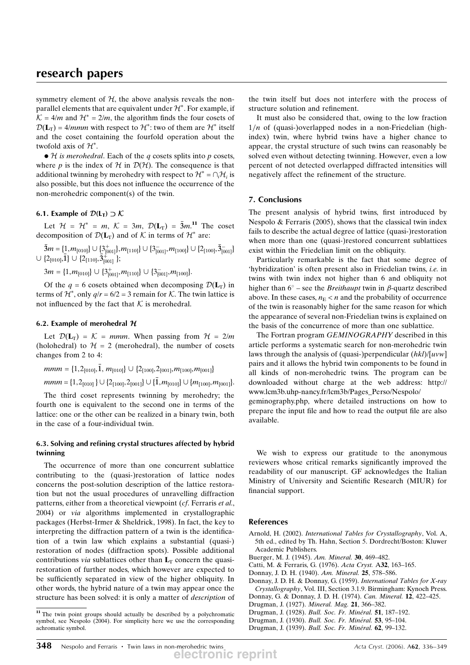symmetry element of  $H$ , the above analysis reveals the nonparallel elements that are equivalent under  $\mathcal{H}^*$ . For example, if  $K = 4/m$  and  $H^* = 2/m$ , the algorithm finds the four cosets of  $D(L_T) = 4/mmm$  with respect to  $\mathcal{H}^*$ : two of them are  $\mathcal{H}^*$  itself and the coset containing the fourfold operation about the twofold axis of  $\mathcal{H}^*$ .

 $\bullet$  H is merohedral. Each of the q cosets splits into p cosets, where p is the index of H in  $\mathcal{D}(\mathcal{H})$ . The consequence is that additional twinning by merohedry with respect to  $\mathcal{H}^* = \bigcap_i \mathcal{H}_i$  is also possible, but this does not influence the occurrence of the non-merohedric component(s) of the twin.

# 6.1. Example of  $\mathcal{D}(L_{\mathsf{T}}) \supset \mathcal{K}$

Let  $\mathcal{H} = \mathcal{H}^* = m$ ,  $\mathcal{K} = 3m$ ,  $\mathcal{D}(\mathbf{L}_T) = 3m$ .<sup>11</sup> The coset decomposition of  $\mathcal{D}(L_T)$  and of K in terms of  $\mathcal{H}^*$  are:

 $\bar{3}m = \{1, m_{[010]}\} \cup \{3^+_{[001]}\}, m_{[110]}\} \cup \{3^-_{[001]}, m_{[100]}\} \cup \{2_{[100]}, \bar{3}^-_{[001]}\}$  $\cup$  {2<sub>[010]</sub>,1}  $\cup$  {2<sub>[110]</sub>,  $\overline{3}^{+\infty}_{[001]}$ };

 $3m = \{1, m_{[010]}\} \cup \{3^+_{[001]}, m_{[110]}\} \cup \{3^-_{[001]}, m_{[100]}\}.$ 

Of the  $q = 6$  cosets obtained when decomposing  $\mathcal{D}(L_T)$  in terms of  $\mathcal{H}^*$ , only  $q/r = 6/2 = 3$  remain for  $\mathcal{K}$ . The twin lattice is not influenced by the fact that  $K$  is merohedral.

### 6.2. Example of merohedral  $H$

Let  $\mathcal{D}(\mathbf{L}_T) = \mathcal{K} = \text{mmm}$ . When passing from  $\mathcal{H} = 2/m$ (holohedral) to  $\mathcal{H} = 2$  (merohedral), the number of cosets changes from 2 to 4:

$$
mmm = \{1, 2_{[010]}, \bar{1}, m_{[010]}\} \cup \{2_{[100]}, 2_{[001]}, m_{[100]}, m_{[001]}\}\
$$

$$
mmm = \{1, 2_{[010]}\} \cup \{2_{[100]}, 2_{[001]}\} \cup \{\bar{1}, m_{[010]}\} \cup \{m_{[100]}, m_{[001]}\}.
$$

The third coset represents twinning by merohedry; the fourth one is equivalent to the second one in terms of the lattice: one or the other can be realized in a binary twin, both in the case of a four-individual twin.

# 6.3. Solving and refining crystal structures affected by hybrid twinning

The occurrence of more than one concurrent sublattice contributing to the (quasi-)restoration of lattice nodes concerns the post-solution description of the lattice restoration but not the usual procedures of unravelling diffraction patterns, either from a theoretical viewpoint (cf. Ferraris et al., 2004) or via algorithms implemented in crystallographic packages (Herbst-Irmer & Sheldrick, 1998). In fact, the key to interpreting the diffraction pattern of a twin is the identification of a twin law which explains a substantial (quasi-) restoration of nodes (diffraction spots). Possible additional contributions *via* sublattices other than  $L_T$  concern the quasirestoration of further nodes, which however are expected to be sufficiently separated in view of the higher obliquity. In other words, the hybrid nature of a twin may appear once the structure has been solved: it is only a matter of description of the twin itself but does not interfere with the process of structure solution and refinement.

It must also be considered that, owing to the low fraction  $1/n$  of (quasi-)overlapped nodes in a non-Friedelian (highindex) twin, where hybrid twins have a higher chance to appear, the crystal structure of such twins can reasonably be solved even without detecting twinning. However, even a low percent of not detected overlapped diffracted intensities will negatively affect the refinement of the structure.

### 7. Conclusions

The present analysis of hybrid twins, first introduced by Nespolo & Ferraris (2005), shows that the classical twin index fails to describe the actual degree of lattice (quasi-)restoration when more than one (quasi-)restored concurrent sublattices exist within the Friedelian limit on the obliquity.

Particularly remarkable is the fact that some degree of 'hybridization' is often present also in Friedelian twins, i.e. in twins with twin index not higher than 6 and obliquity not higher than  $6^{\circ}$  – see the *Breithaupt* twin in  $\beta$ -quartz described above. In these cases,  $n_E < n$  and the probability of occurrence of the twin is reasonably higher for the same reason for which the appearance of several non-Friedelian twins is explained on the basis of the concurrence of more than one sublattice.

The Fortran program GEMINOGRAPHY described in this article performs a systematic search for non-merohedric twin laws through the analysis of (quasi-)perpendicular  $(hkl)/[uvw]$ pairs and it allows the hybrid twin components to be found in all kinds of non-merohedric twins. The program can be downloaded without charge at the web address: http:// www.lcm3b.uhp-nancy.fr/lcm3b/Pages\_Perso/Nespolo/

geminography.php, where detailed instructions on how to prepare the input file and how to read the output file are also available.

We wish to express our gratitude to the anonymous reviewers whose critical remarks significantly improved the readability of our manuscript. GF acknowledges the Italian Ministry of University and Scientific Research (MIUR) for financial support.

### References

- Arnold, H. (2002). International Tables for Crystallography, Vol. A, 5th ed., edited by Th. Hahn, Section 5. Dordrecht/Boston: Kluwer Academic Publishers.
- Buerger, M. J. (1945). Am. Mineral. 30, 469–482.
- Catti, M. & Ferraris, G. (1976). Acta Cryst. A32, 163–165.
- Donnay, J. D. H. (1940). Am. Mineral. 25, 578–586.

Donnay, J. D. H. & Donnay, G. (1959). International Tables for X-ray Crystallography, Vol. III, Section 3.1.9. Birmingham: Kynoch Press.

- Donnay, G. & Donnay, J. D. H. (1974). Can. Mineral. 12, 422–425.
- Drugman, J. (1927). Mineral. Mag. 21, 366-382.
- Drugman, J. (1928). Bull. Soc. Fr. Minéral. 51, 187-192.
- Drugman, J. (1930). Bull. Soc. Fr. Minéral. 53, 95-104.
- Drugman, J. (1939). Bull. Soc. Fr. Minéral. 62, 99-132.

<sup>&</sup>lt;sup>11</sup> The twin point groups should actually be described by a polychromatic symbol, see Nespolo (2004). For simplicity here we use the corresponding achromatic symbol.